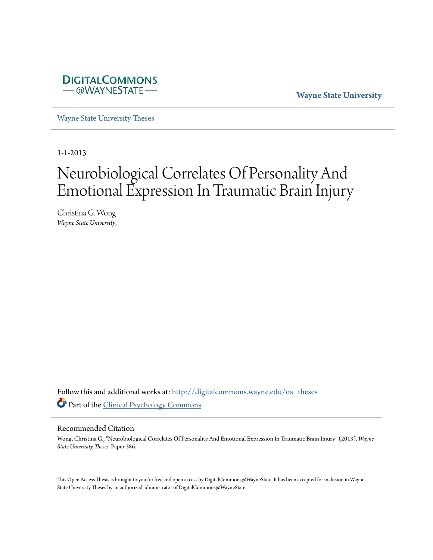

**Wayne State University**

[Wayne State University Theses](http://digitalcommons.wayne.edu/oa_theses?utm_source=digitalcommons.wayne.edu%2Foa_theses%2F286&utm_medium=PDF&utm_campaign=PDFCoverPages)

1-1-2013

# Neurobiological Correlates Of Personality And Emotional Expression In Traumatic Brain Injury

Christina G. Wong *Wayne State University*,

Follow this and additional works at: [http://digitalcommons.wayne.edu/oa\\_theses](http://digitalcommons.wayne.edu/oa_theses?utm_source=digitalcommons.wayne.edu%2Foa_theses%2F286&utm_medium=PDF&utm_campaign=PDFCoverPages) Part of the [Clinical Psychology Commons](http://network.bepress.com/hgg/discipline/406?utm_source=digitalcommons.wayne.edu%2Foa_theses%2F286&utm_medium=PDF&utm_campaign=PDFCoverPages)

#### Recommended Citation

Wong, Christina G., "Neurobiological Correlates Of Personality And Emotional Expression In Traumatic Brain Injury" (2013). *Wayne State University Theses.* Paper 286.

This Open Access Thesis is brought to you for free and open access by DigitalCommons@WayneState. It has been accepted for inclusion in Wayne State University Theses by an authorized administrator of DigitalCommons@WayneState.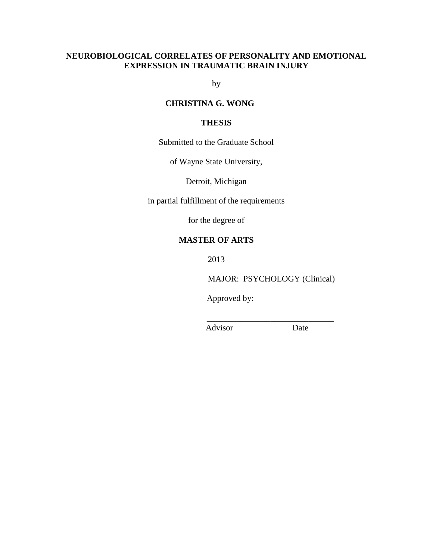# **NEUROBIOLOGICAL CORRELATES OF PERSONALITY AND EMOTIONAL EXPRESSION IN TRAUMATIC BRAIN INJURY**

by

### **CHRISTINA G. WONG**

# **THESIS**

Submitted to the Graduate School

of Wayne State University,

Detroit, Michigan

in partial fulfillment of the requirements

for the degree of

# **MASTER OF ARTS**

2013

MAJOR: PSYCHOLOGY (Clinical)

\_\_\_\_\_\_\_\_\_\_\_\_\_\_\_\_\_\_\_\_\_\_\_\_\_\_\_\_\_\_

Approved by:

Advisor Date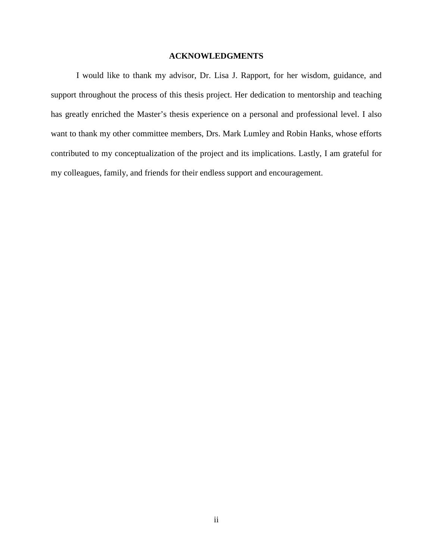#### **ACKNOWLEDGMENTS**

I would like to thank my advisor, Dr. Lisa J. Rapport, for her wisdom, guidance, and support throughout the process of this thesis project. Her dedication to mentorship and teaching has greatly enriched the Master's thesis experience on a personal and professional level. I also want to thank my other committee members, Drs. Mark Lumley and Robin Hanks, whose efforts contributed to my conceptualization of the project and its implications. Lastly, I am grateful for my colleagues, family, and friends for their endless support and encouragement.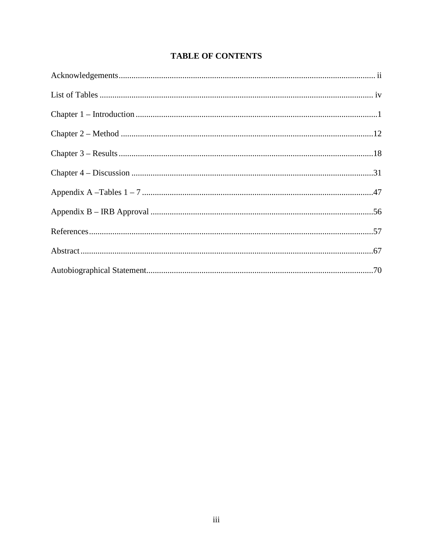|  | <b>TABLE OF CONTENTS</b> |
|--|--------------------------|
|--|--------------------------|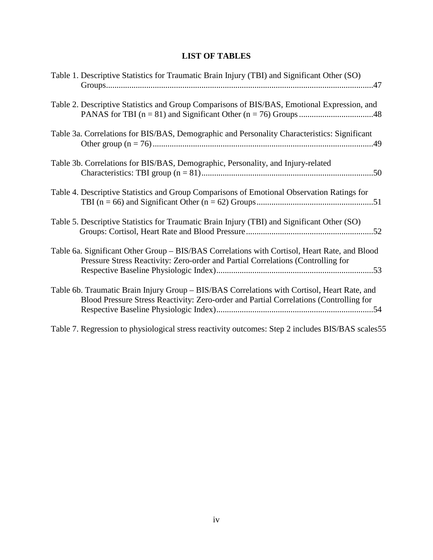# **LIST OF TABLES**

| Table 1. Descriptive Statistics for Traumatic Brain Injury (TBI) and Significant Other (SO)                                                                                            |
|----------------------------------------------------------------------------------------------------------------------------------------------------------------------------------------|
| Table 2. Descriptive Statistics and Group Comparisons of BIS/BAS, Emotional Expression, and                                                                                            |
| Table 3a. Correlations for BIS/BAS, Demographic and Personality Characteristics: Significant                                                                                           |
| Table 3b. Correlations for BIS/BAS, Demographic, Personality, and Injury-related                                                                                                       |
| Table 4. Descriptive Statistics and Group Comparisons of Emotional Observation Ratings for                                                                                             |
| Table 5. Descriptive Statistics for Traumatic Brain Injury (TBI) and Significant Other (SO)                                                                                            |
| Table 6a. Significant Other Group - BIS/BAS Correlations with Cortisol, Heart Rate, and Blood<br>Pressure Stress Reactivity: Zero-order and Partial Correlations (Controlling for      |
| Table 6b. Traumatic Brain Injury Group - BIS/BAS Correlations with Cortisol, Heart Rate, and<br>Blood Pressure Stress Reactivity: Zero-order and Partial Correlations (Controlling for |
|                                                                                                                                                                                        |

Table 7. Regression to physiological stress reactivity outcomes: Step 2 includes BIS/BAS scales55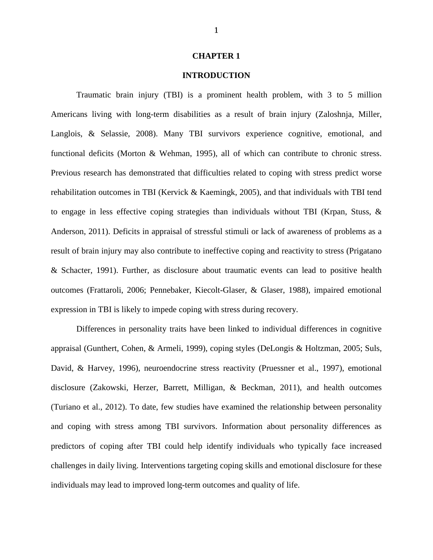#### **CHAPTER 1**

#### **INTRODUCTION**

Traumatic brain injury (TBI) is a prominent health problem, with 3 to 5 million Americans living with long-term disabilities as a result of brain injury (Zaloshnja, Miller, Langlois, & Selassie, 2008). Many TBI survivors experience cognitive, emotional, and functional deficits (Morton & Wehman, 1995), all of which can contribute to chronic stress. Previous research has demonstrated that difficulties related to coping with stress predict worse rehabilitation outcomes in TBI (Kervick & Kaemingk, 2005), and that individuals with TBI tend to engage in less effective coping strategies than individuals without TBI (Krpan, Stuss, & Anderson, 2011). Deficits in appraisal of stressful stimuli or lack of awareness of problems as a result of brain injury may also contribute to ineffective coping and reactivity to stress (Prigatano & Schacter, 1991). Further, as disclosure about traumatic events can lead to positive health outcomes (Frattaroli, 2006; Pennebaker, Kiecolt-Glaser, & Glaser, 1988), impaired emotional expression in TBI is likely to impede coping with stress during recovery.

Differences in personality traits have been linked to individual differences in cognitive appraisal (Gunthert, Cohen, & Armeli, 1999), coping styles (DeLongis & Holtzman, 2005; Suls, David, & Harvey, 1996), neuroendocrine stress reactivity (Pruessner et al., 1997), emotional disclosure (Zakowski, Herzer, Barrett, Milligan, & Beckman, 2011), and health outcomes (Turiano et al., 2012). To date, few studies have examined the relationship between personality and coping with stress among TBI survivors. Information about personality differences as predictors of coping after TBI could help identify individuals who typically face increased challenges in daily living. Interventions targeting coping skills and emotional disclosure for these individuals may lead to improved long-term outcomes and quality of life.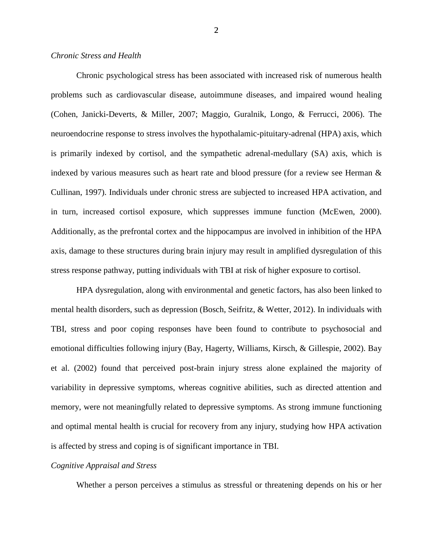#### *Chronic Stress and Health*

 Chronic psychological stress has been associated with increased risk of numerous health problems such as cardiovascular disease, autoimmune diseases, and impaired wound healing (Cohen, Janicki-Deverts, & Miller, 2007; Maggio, Guralnik, Longo, & Ferrucci, 2006). The neuroendocrine response to stress involves the hypothalamic-pituitary-adrenal (HPA) axis, which is primarily indexed by cortisol, and the sympathetic adrenal-medullary (SA) axis, which is indexed by various measures such as heart rate and blood pressure (for a review see Herman & Cullinan, 1997). Individuals under chronic stress are subjected to increased HPA activation, and in turn, increased cortisol exposure, which suppresses immune function (McEwen, 2000). Additionally, as the prefrontal cortex and the hippocampus are involved in inhibition of the HPA axis, damage to these structures during brain injury may result in amplified dysregulation of this stress response pathway, putting individuals with TBI at risk of higher exposure to cortisol.

 HPA dysregulation, along with environmental and genetic factors, has also been linked to mental health disorders, such as depression (Bosch, Seifritz, & Wetter, 2012). In individuals with TBI, stress and poor coping responses have been found to contribute to psychosocial and emotional difficulties following injury (Bay, Hagerty, Williams, Kirsch, & Gillespie, 2002). Bay et al. (2002) found that perceived post-brain injury stress alone explained the majority of variability in depressive symptoms, whereas cognitive abilities, such as directed attention and memory, were not meaningfully related to depressive symptoms. As strong immune functioning and optimal mental health is crucial for recovery from any injury, studying how HPA activation is affected by stress and coping is of significant importance in TBI.

#### *Cognitive Appraisal and Stress*

Whether a person perceives a stimulus as stressful or threatening depends on his or her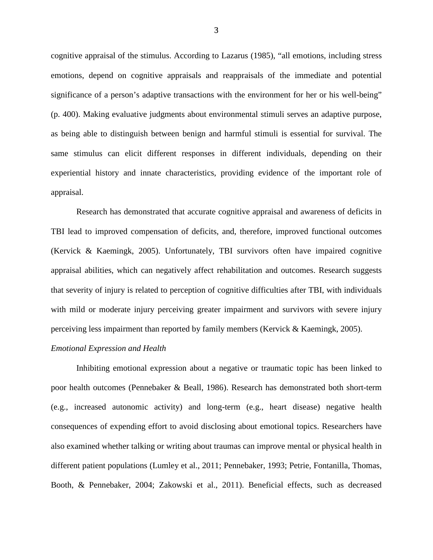cognitive appraisal of the stimulus. According to Lazarus (1985), "all emotions, including stress emotions, depend on cognitive appraisals and reappraisals of the immediate and potential significance of a person's adaptive transactions with the environment for her or his well-being" (p. 400). Making evaluative judgments about environmental stimuli serves an adaptive purpose, as being able to distinguish between benign and harmful stimuli is essential for survival. The same stimulus can elicit different responses in different individuals, depending on their experiential history and innate characteristics, providing evidence of the important role of appraisal.

Research has demonstrated that accurate cognitive appraisal and awareness of deficits in TBI lead to improved compensation of deficits, and, therefore, improved functional outcomes (Kervick & Kaemingk, 2005). Unfortunately, TBI survivors often have impaired cognitive appraisal abilities, which can negatively affect rehabilitation and outcomes. Research suggests that severity of injury is related to perception of cognitive difficulties after TBI, with individuals with mild or moderate injury perceiving greater impairment and survivors with severe injury perceiving less impairment than reported by family members (Kervick & Kaemingk, 2005).

#### *Emotional Expression and Health*

Inhibiting emotional expression about a negative or traumatic topic has been linked to poor health outcomes (Pennebaker & Beall, 1986). Research has demonstrated both short-term (e.g., increased autonomic activity) and long-term (e.g., heart disease) negative health consequences of expending effort to avoid disclosing about emotional topics. Researchers have also examined whether talking or writing about traumas can improve mental or physical health in different patient populations (Lumley et al., 2011; Pennebaker, 1993; Petrie, Fontanilla, Thomas, Booth, & Pennebaker, 2004; Zakowski et al., 2011). Beneficial effects, such as decreased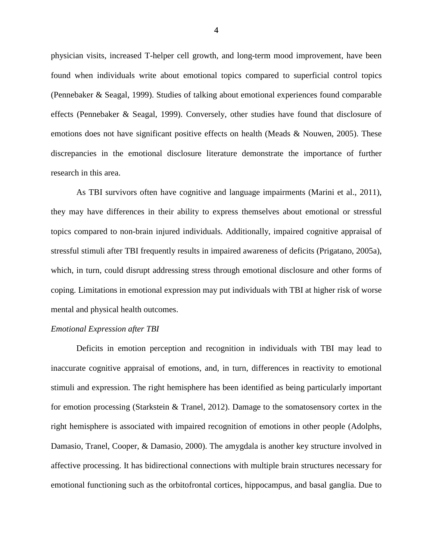physician visits, increased T-helper cell growth, and long-term mood improvement, have been found when individuals write about emotional topics compared to superficial control topics (Pennebaker & Seagal, 1999). Studies of talking about emotional experiences found comparable effects (Pennebaker & Seagal, 1999). Conversely, other studies have found that disclosure of emotions does not have significant positive effects on health (Meads & Nouwen, 2005). These discrepancies in the emotional disclosure literature demonstrate the importance of further research in this area.

As TBI survivors often have cognitive and language impairments (Marini et al., 2011), they may have differences in their ability to express themselves about emotional or stressful topics compared to non-brain injured individuals. Additionally, impaired cognitive appraisal of stressful stimuli after TBI frequently results in impaired awareness of deficits (Prigatano, 2005a), which, in turn, could disrupt addressing stress through emotional disclosure and other forms of coping. Limitations in emotional expression may put individuals with TBI at higher risk of worse mental and physical health outcomes.

#### *Emotional Expression after TBI*

 Deficits in emotion perception and recognition in individuals with TBI may lead to inaccurate cognitive appraisal of emotions, and, in turn, differences in reactivity to emotional stimuli and expression. The right hemisphere has been identified as being particularly important for emotion processing (Starkstein & Tranel, 2012). Damage to the somatosensory cortex in the right hemisphere is associated with impaired recognition of emotions in other people (Adolphs, Damasio, Tranel, Cooper, & Damasio, 2000). The amygdala is another key structure involved in affective processing. It has bidirectional connections with multiple brain structures necessary for emotional functioning such as the orbitofrontal cortices, hippocampus, and basal ganglia. Due to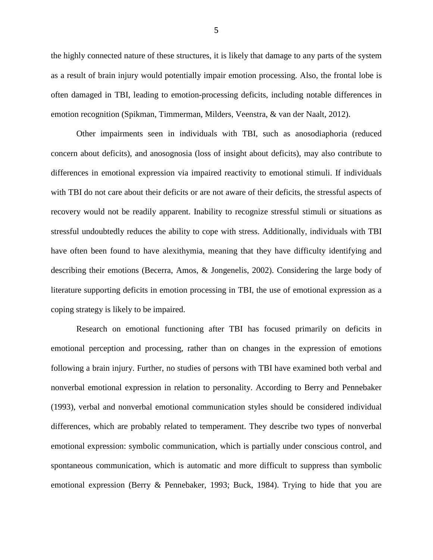the highly connected nature of these structures, it is likely that damage to any parts of the system as a result of brain injury would potentially impair emotion processing. Also, the frontal lobe is often damaged in TBI, leading to emotion-processing deficits, including notable differences in emotion recognition (Spikman, Timmerman, Milders, Veenstra, & van der Naalt, 2012).

Other impairments seen in individuals with TBI, such as anosodiaphoria (reduced concern about deficits), and anosognosia (loss of insight about deficits), may also contribute to differences in emotional expression via impaired reactivity to emotional stimuli. If individuals with TBI do not care about their deficits or are not aware of their deficits, the stressful aspects of recovery would not be readily apparent. Inability to recognize stressful stimuli or situations as stressful undoubtedly reduces the ability to cope with stress. Additionally, individuals with TBI have often been found to have alexithymia, meaning that they have difficulty identifying and describing their emotions (Becerra, Amos, & Jongenelis, 2002). Considering the large body of literature supporting deficits in emotion processing in TBI, the use of emotional expression as a coping strategy is likely to be impaired.

 Research on emotional functioning after TBI has focused primarily on deficits in emotional perception and processing, rather than on changes in the expression of emotions following a brain injury. Further, no studies of persons with TBI have examined both verbal and nonverbal emotional expression in relation to personality. According to Berry and Pennebaker (1993), verbal and nonverbal emotional communication styles should be considered individual differences, which are probably related to temperament. They describe two types of nonverbal emotional expression: symbolic communication, which is partially under conscious control, and spontaneous communication, which is automatic and more difficult to suppress than symbolic emotional expression (Berry & Pennebaker, 1993; Buck, 1984). Trying to hide that you are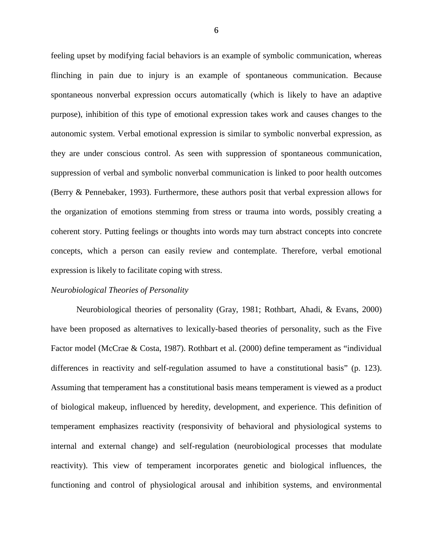feeling upset by modifying facial behaviors is an example of symbolic communication, whereas flinching in pain due to injury is an example of spontaneous communication. Because spontaneous nonverbal expression occurs automatically (which is likely to have an adaptive purpose), inhibition of this type of emotional expression takes work and causes changes to the autonomic system. Verbal emotional expression is similar to symbolic nonverbal expression, as they are under conscious control. As seen with suppression of spontaneous communication, suppression of verbal and symbolic nonverbal communication is linked to poor health outcomes (Berry & Pennebaker, 1993). Furthermore, these authors posit that verbal expression allows for the organization of emotions stemming from stress or trauma into words, possibly creating a coherent story. Putting feelings or thoughts into words may turn abstract concepts into concrete concepts, which a person can easily review and contemplate. Therefore, verbal emotional expression is likely to facilitate coping with stress.

#### *Neurobiological Theories of Personality*

Neurobiological theories of personality (Gray, 1981; Rothbart, Ahadi, & Evans, 2000) have been proposed as alternatives to lexically-based theories of personality, such as the Five Factor model (McCrae & Costa, 1987). Rothbart et al. (2000) define temperament as "individual differences in reactivity and self-regulation assumed to have a constitutional basis" (p. 123). Assuming that temperament has a constitutional basis means temperament is viewed as a product of biological makeup, influenced by heredity, development, and experience. This definition of temperament emphasizes reactivity (responsivity of behavioral and physiological systems to internal and external change) and self-regulation (neurobiological processes that modulate reactivity). This view of temperament incorporates genetic and biological influences, the functioning and control of physiological arousal and inhibition systems, and environmental

6 6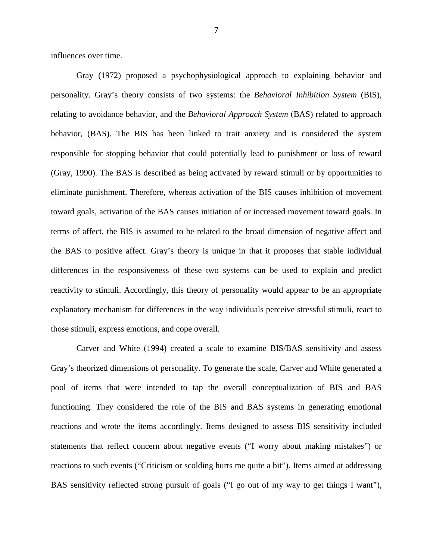influences over time.

Gray (1972) proposed a psychophysiological approach to explaining behavior and personality. Gray's theory consists of two systems: the *Behavioral Inhibition System* (BIS), relating to avoidance behavior, and the *Behavioral Approach System* (BAS) related to approach behavior, (BAS). The BIS has been linked to trait anxiety and is considered the system responsible for stopping behavior that could potentially lead to punishment or loss of reward (Gray, 1990). The BAS is described as being activated by reward stimuli or by opportunities to eliminate punishment. Therefore, whereas activation of the BIS causes inhibition of movement toward goals, activation of the BAS causes initiation of or increased movement toward goals. In terms of affect, the BIS is assumed to be related to the broad dimension of negative affect and the BAS to positive affect. Gray's theory is unique in that it proposes that stable individual differences in the responsiveness of these two systems can be used to explain and predict reactivity to stimuli. Accordingly, this theory of personality would appear to be an appropriate explanatory mechanism for differences in the way individuals perceive stressful stimuli, react to those stimuli, express emotions, and cope overall.

Carver and White (1994) created a scale to examine BIS/BAS sensitivity and assess Gray's theorized dimensions of personality. To generate the scale, Carver and White generated a pool of items that were intended to tap the overall conceptualization of BIS and BAS functioning. They considered the role of the BIS and BAS systems in generating emotional reactions and wrote the items accordingly. Items designed to assess BIS sensitivity included statements that reflect concern about negative events ("I worry about making mistakes") or reactions to such events ("Criticism or scolding hurts me quite a bit"). Items aimed at addressing BAS sensitivity reflected strong pursuit of goals ("I go out of my way to get things I want"),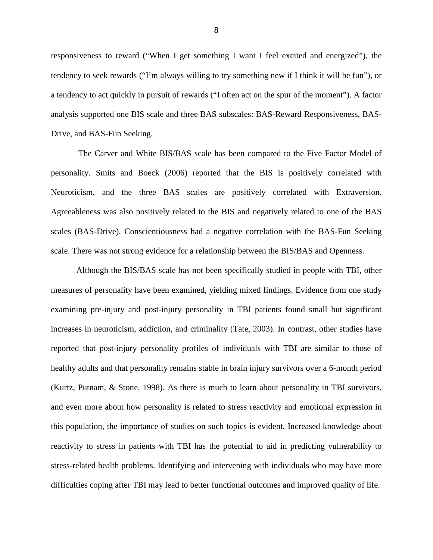responsiveness to reward ("When I get something I want I feel excited and energized"), the tendency to seek rewards ("I'm always willing to try something new if I think it will be fun"), or a tendency to act quickly in pursuit of rewards ("I often act on the spur of the moment"). A factor analysis supported one BIS scale and three BAS subscales: BAS-Reward Responsiveness, BAS-Drive, and BAS-Fun Seeking.

 The Carver and White BIS/BAS scale has been compared to the Five Factor Model of personality. Smits and Boeck (2006) reported that the BIS is positively correlated with Neuroticism, and the three BAS scales are positively correlated with Extraversion. Agreeableness was also positively related to the BIS and negatively related to one of the BAS scales (BAS-Drive). Conscientiousness had a negative correlation with the BAS-Fun Seeking scale. There was not strong evidence for a relationship between the BIS/BAS and Openness.

Although the BIS/BAS scale has not been specifically studied in people with TBI, other measures of personality have been examined, yielding mixed findings. Evidence from one study examining pre-injury and post-injury personality in TBI patients found small but significant increases in neuroticism, addiction, and criminality (Tate, 2003). In contrast, other studies have reported that post-injury personality profiles of individuals with TBI are similar to those of healthy adults and that personality remains stable in brain injury survivors over a 6-month period (Kurtz, Putnam, & Stone, 1998). As there is much to learn about personality in TBI survivors, and even more about how personality is related to stress reactivity and emotional expression in this population, the importance of studies on such topics is evident. Increased knowledge about reactivity to stress in patients with TBI has the potential to aid in predicting vulnerability to stress-related health problems. Identifying and intervening with individuals who may have more difficulties coping after TBI may lead to better functional outcomes and improved quality of life.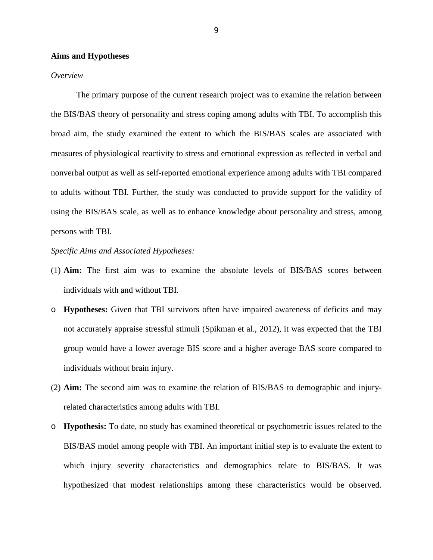#### **Aims and Hypotheses**

#### *Overview*

The primary purpose of the current research project was to examine the relation between the BIS/BAS theory of personality and stress coping among adults with TBI. To accomplish this broad aim, the study examined the extent to which the BIS/BAS scales are associated with measures of physiological reactivity to stress and emotional expression as reflected in verbal and nonverbal output as well as self-reported emotional experience among adults with TBI compared to adults without TBI. Further, the study was conducted to provide support for the validity of using the BIS/BAS scale, as well as to enhance knowledge about personality and stress, among persons with TBI.

#### *Specific Aims and Associated Hypotheses:*

- (1) **Aim:** The first aim was to examine the absolute levels of BIS/BAS scores between individuals with and without TBI.
- o **Hypotheses:** Given that TBI survivors often have impaired awareness of deficits and may not accurately appraise stressful stimuli (Spikman et al., 2012), it was expected that the TBI group would have a lower average BIS score and a higher average BAS score compared to individuals without brain injury.
- (2) **Aim:** The second aim was to examine the relation of BIS/BAS to demographic and injuryrelated characteristics among adults with TBI.
- o **Hypothesis:** To date, no study has examined theoretical or psychometric issues related to the BIS/BAS model among people with TBI. An important initial step is to evaluate the extent to which injury severity characteristics and demographics relate to BIS/BAS. It was hypothesized that modest relationships among these characteristics would be observed.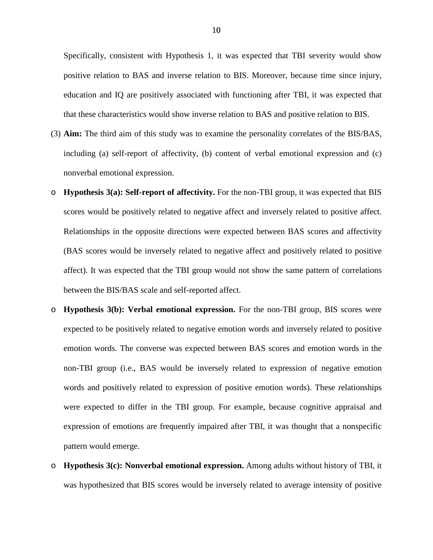Specifically, consistent with Hypothesis 1, it was expected that TBI severity would show positive relation to BAS and inverse relation to BIS. Moreover, because time since injury, education and IQ are positively associated with functioning after TBI, it was expected that that these characteristics would show inverse relation to BAS and positive relation to BIS.

- (3) **Aim:** The third aim of this study was to examine the personality correlates of the BIS/BAS, including (a) self-report of affectivity, (b) content of verbal emotional expression and (c) nonverbal emotional expression.
- o **Hypothesis 3(a): Self-report of affectivity.** For the non-TBI group, it was expected that BIS scores would be positively related to negative affect and inversely related to positive affect. Relationships in the opposite directions were expected between BAS scores and affectivity (BAS scores would be inversely related to negative affect and positively related to positive affect). It was expected that the TBI group would not show the same pattern of correlations between the BIS/BAS scale and self-reported affect.
- o **Hypothesis 3(b): Verbal emotional expression.** For the non-TBI group, BIS scores were expected to be positively related to negative emotion words and inversely related to positive emotion words. The converse was expected between BAS scores and emotion words in the non-TBI group (i.e., BAS would be inversely related to expression of negative emotion words and positively related to expression of positive emotion words). These relationships were expected to differ in the TBI group. For example, because cognitive appraisal and expression of emotions are frequently impaired after TBI, it was thought that a nonspecific pattern would emerge.
- o **Hypothesis 3(c): Nonverbal emotional expression.** Among adults without history of TBI, it was hypothesized that BIS scores would be inversely related to average intensity of positive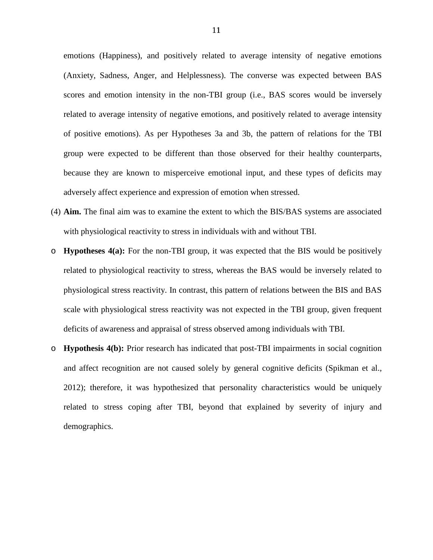emotions (Happiness), and positively related to average intensity of negative emotions (Anxiety, Sadness, Anger, and Helplessness). The converse was expected between BAS scores and emotion intensity in the non-TBI group (i.e., BAS scores would be inversely related to average intensity of negative emotions, and positively related to average intensity of positive emotions). As per Hypotheses 3a and 3b, the pattern of relations for the TBI group were expected to be different than those observed for their healthy counterparts, because they are known to misperceive emotional input, and these types of deficits may adversely affect experience and expression of emotion when stressed.

- (4) **Aim.** The final aim was to examine the extent to which the BIS/BAS systems are associated with physiological reactivity to stress in individuals with and without TBI.
- o **Hypotheses 4(a):** For the non-TBI group, it was expected that the BIS would be positively related to physiological reactivity to stress, whereas the BAS would be inversely related to physiological stress reactivity. In contrast, this pattern of relations between the BIS and BAS scale with physiological stress reactivity was not expected in the TBI group, given frequent deficits of awareness and appraisal of stress observed among individuals with TBI.
- o **Hypothesis 4(b):** Prior research has indicated that post-TBI impairments in social cognition and affect recognition are not caused solely by general cognitive deficits (Spikman et al., 2012); therefore, it was hypothesized that personality characteristics would be uniquely related to stress coping after TBI, beyond that explained by severity of injury and demographics.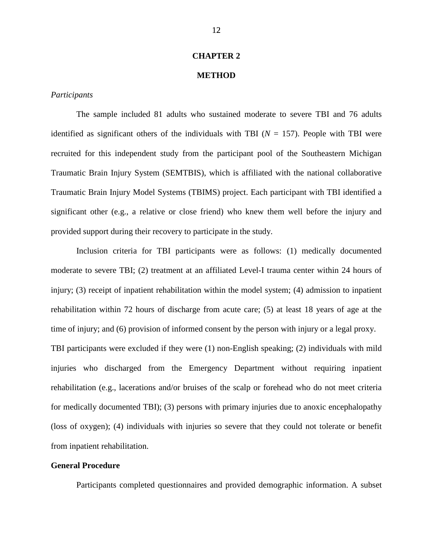#### **CHAPTER 2**

#### **METHOD**

#### *Participants*

The sample included 81 adults who sustained moderate to severe TBI and 76 adults identified as significant others of the individuals with TBI ( $N = 157$ ). People with TBI were recruited for this independent study from the participant pool of the Southeastern Michigan Traumatic Brain Injury System (SEMTBIS), which is affiliated with the national collaborative Traumatic Brain Injury Model Systems (TBIMS) project. Each participant with TBI identified a significant other (e.g., a relative or close friend) who knew them well before the injury and provided support during their recovery to participate in the study.

Inclusion criteria for TBI participants were as follows: (1) medically documented moderate to severe TBI; (2) treatment at an affiliated Level-I trauma center within 24 hours of injury; (3) receipt of inpatient rehabilitation within the model system; (4) admission to inpatient rehabilitation within 72 hours of discharge from acute care; (5) at least 18 years of age at the time of injury; and (6) provision of informed consent by the person with injury or a legal proxy. TBI participants were excluded if they were (1) non-English speaking; (2) individuals with mild injuries who discharged from the Emergency Department without requiring inpatient rehabilitation (e.g., lacerations and/or bruises of the scalp or forehead who do not meet criteria for medically documented TBI); (3) persons with primary injuries due to anoxic encephalopathy (loss of oxygen); (4) individuals with injuries so severe that they could not tolerate or benefit from inpatient rehabilitation.

#### **General Procedure**

Participants completed questionnaires and provided demographic information. A subset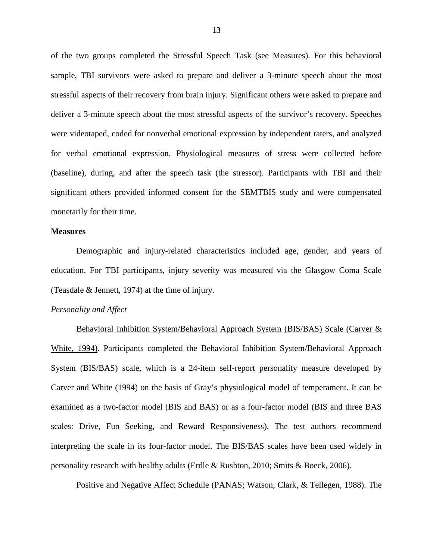of the two groups completed the Stressful Speech Task (see Measures). For this behavioral sample, TBI survivors were asked to prepare and deliver a 3-minute speech about the most stressful aspects of their recovery from brain injury. Significant others were asked to prepare and deliver a 3-minute speech about the most stressful aspects of the survivor's recovery. Speeches were videotaped, coded for nonverbal emotional expression by independent raters, and analyzed for verbal emotional expression. Physiological measures of stress were collected before (baseline), during, and after the speech task (the stressor). Participants with TBI and their significant others provided informed consent for the SEMTBIS study and were compensated monetarily for their time.

#### **Measures**

Demographic and injury-related characteristics included age, gender, and years of education. For TBI participants, injury severity was measured via the Glasgow Coma Scale (Teasdale & Jennett, 1974) at the time of injury.

#### *Personality and Affect*

Behavioral Inhibition System/Behavioral Approach System (BIS/BAS) Scale (Carver & White, 1994). Participants completed the Behavioral Inhibition System/Behavioral Approach System (BIS/BAS) scale, which is a 24-item self-report personality measure developed by Carver and White (1994) on the basis of Gray's physiological model of temperament. It can be examined as a two-factor model (BIS and BAS) or as a four-factor model (BIS and three BAS scales: Drive, Fun Seeking, and Reward Responsiveness). The test authors recommend interpreting the scale in its four-factor model. The BIS/BAS scales have been used widely in personality research with healthy adults (Erdle & Rushton, 2010; Smits & Boeck, 2006).

Positive and Negative Affect Schedule (PANAS; Watson, Clark, & Tellegen, 1988). The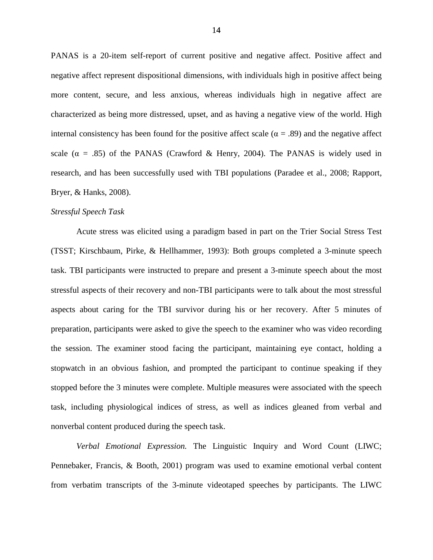PANAS is a 20-item self-report of current positive and negative affect. Positive affect and negative affect represent dispositional dimensions, with individuals high in positive affect being more content, secure, and less anxious, whereas individuals high in negative affect are characterized as being more distressed, upset, and as having a negative view of the world. High internal consistency has been found for the positive affect scale ( $\alpha = .89$ ) and the negative affect scale ( $\alpha$  = .85) of the PANAS (Crawford & Henry, 2004). The PANAS is widely used in research, and has been successfully used with TBI populations (Paradee et al., 2008; Rapport, Bryer, & Hanks, 2008).

#### *Stressful Speech Task*

 Acute stress was elicited using a paradigm based in part on the Trier Social Stress Test (TSST; Kirschbaum, Pirke, & Hellhammer, 1993): Both groups completed a 3-minute speech task. TBI participants were instructed to prepare and present a 3-minute speech about the most stressful aspects of their recovery and non-TBI participants were to talk about the most stressful aspects about caring for the TBI survivor during his or her recovery. After 5 minutes of preparation, participants were asked to give the speech to the examiner who was video recording the session. The examiner stood facing the participant, maintaining eye contact, holding a stopwatch in an obvious fashion, and prompted the participant to continue speaking if they stopped before the 3 minutes were complete. Multiple measures were associated with the speech task, including physiological indices of stress, as well as indices gleaned from verbal and nonverbal content produced during the speech task.

*Verbal Emotional Expression.* The Linguistic Inquiry and Word Count (LIWC; Pennebaker, Francis, & Booth, 2001) program was used to examine emotional verbal content from verbatim transcripts of the 3-minute videotaped speeches by participants. The LIWC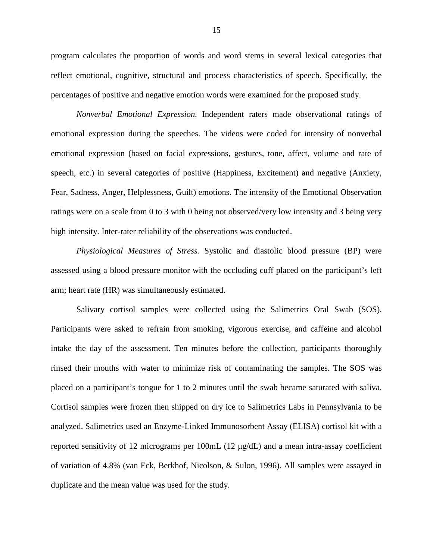program calculates the proportion of words and word stems in several lexical categories that reflect emotional, cognitive, structural and process characteristics of speech. Specifically, the percentages of positive and negative emotion words were examined for the proposed study.

*Nonverbal Emotional Expression.* Independent raters made observational ratings of emotional expression during the speeches. The videos were coded for intensity of nonverbal emotional expression (based on facial expressions, gestures, tone, affect, volume and rate of speech, etc.) in several categories of positive (Happiness, Excitement) and negative (Anxiety, Fear, Sadness, Anger, Helplessness, Guilt) emotions. The intensity of the Emotional Observation ratings were on a scale from 0 to 3 with 0 being not observed/very low intensity and 3 being very high intensity. Inter-rater reliability of the observations was conducted.

*Physiological Measures of Stress.* Systolic and diastolic blood pressure (BP) were assessed using a blood pressure monitor with the occluding cuff placed on the participant's left arm; heart rate (HR) was simultaneously estimated.

Salivary cortisol samples were collected using the Salimetrics Oral Swab (SOS). Participants were asked to refrain from smoking, vigorous exercise, and caffeine and alcohol intake the day of the assessment. Ten minutes before the collection, participants thoroughly rinsed their mouths with water to minimize risk of contaminating the samples. The SOS was placed on a participant's tongue for 1 to 2 minutes until the swab became saturated with saliva. Cortisol samples were frozen then shipped on dry ice to Salimetrics Labs in Pennsylvania to be analyzed. Salimetrics used an Enzyme-Linked Immunosorbent Assay (ELISA) cortisol kit with a reported sensitivity of 12 micrograms per 100mL (12 µg/dL) and a mean intra-assay coefficient of variation of 4.8% (van Eck, Berkhof, Nicolson, & Sulon, 1996). All samples were assayed in duplicate and the mean value was used for the study.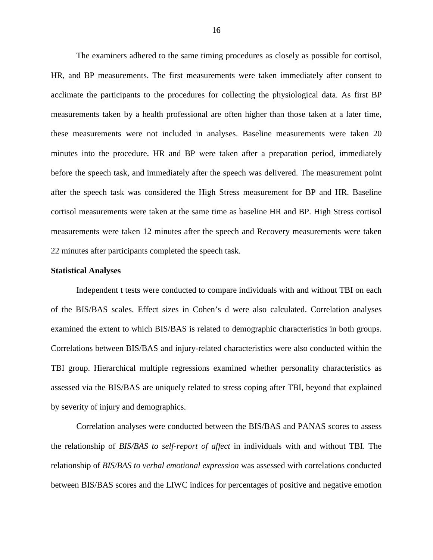The examiners adhered to the same timing procedures as closely as possible for cortisol, HR, and BP measurements. The first measurements were taken immediately after consent to acclimate the participants to the procedures for collecting the physiological data. As first BP measurements taken by a health professional are often higher than those taken at a later time, these measurements were not included in analyses. Baseline measurements were taken 20 minutes into the procedure. HR and BP were taken after a preparation period, immediately before the speech task, and immediately after the speech was delivered. The measurement point after the speech task was considered the High Stress measurement for BP and HR. Baseline cortisol measurements were taken at the same time as baseline HR and BP. High Stress cortisol measurements were taken 12 minutes after the speech and Recovery measurements were taken 22 minutes after participants completed the speech task.

#### **Statistical Analyses**

Independent t tests were conducted to compare individuals with and without TBI on each of the BIS/BAS scales. Effect sizes in Cohen's d were also calculated. Correlation analyses examined the extent to which BIS/BAS is related to demographic characteristics in both groups. Correlations between BIS/BAS and injury-related characteristics were also conducted within the TBI group. Hierarchical multiple regressions examined whether personality characteristics as assessed via the BIS/BAS are uniquely related to stress coping after TBI, beyond that explained by severity of injury and demographics.

Correlation analyses were conducted between the BIS/BAS and PANAS scores to assess the relationship of *BIS/BAS to self-report of affect* in individuals with and without TBI. The relationship of *BIS/BAS to verbal emotional expression* was assessed with correlations conducted between BIS/BAS scores and the LIWC indices for percentages of positive and negative emotion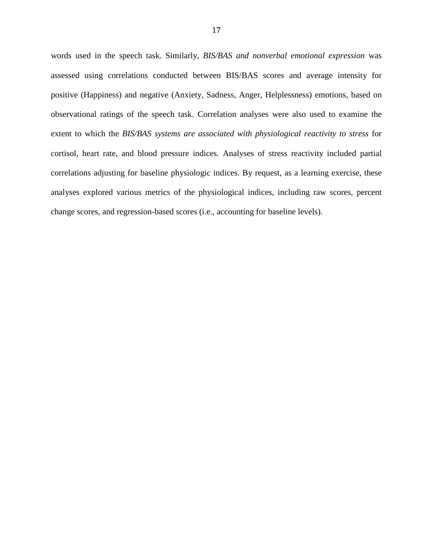words used in the speech task. Similarly, *BIS/BAS and nonverbal emotional expression* was assessed using correlations conducted between BIS/BAS scores and average intensity for positive (Happiness) and negative (Anxiety, Sadness, Anger, Helplessness) emotions, based on observational ratings of the speech task. Correlation analyses were also used to examine the extent to which the *BIS/BAS systems are associated with physiological reactivity to stress* for cortisol, heart rate, and blood pressure indices. Analyses of stress reactivity included partial correlations adjusting for baseline physiologic indices. By request, as a learning exercise, these analyses explored various metrics of the physiological indices, including raw scores, percent change scores, and regression-based scores (i.e., accounting for baseline levels).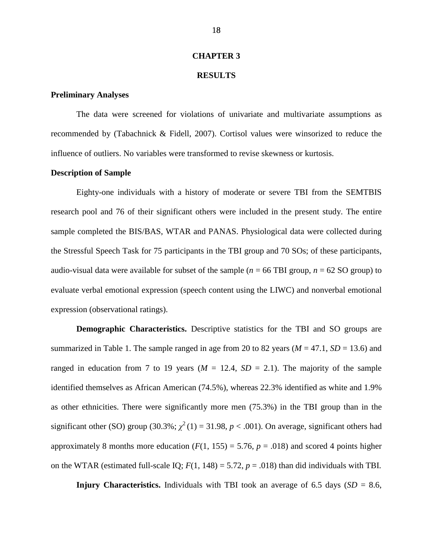#### **CHAPTER 3**

#### **RESULTS**

#### **Preliminary Analyses**

 The data were screened for violations of univariate and multivariate assumptions as recommended by (Tabachnick & Fidell, 2007). Cortisol values were winsorized to reduce the influence of outliers. No variables were transformed to revise skewness or kurtosis.

#### **Description of Sample**

Eighty-one individuals with a history of moderate or severe TBI from the SEMTBIS research pool and 76 of their significant others were included in the present study. The entire sample completed the BIS/BAS, WTAR and PANAS. Physiological data were collected during the Stressful Speech Task for 75 participants in the TBI group and 70 SOs; of these participants, audio-visual data were available for subset of the sample  $(n = 66 \text{ TBI group}, n = 62 \text{ SO group})$  to evaluate verbal emotional expression (speech content using the LIWC) and nonverbal emotional expression (observational ratings).

**Demographic Characteristics.** Descriptive statistics for the TBI and SO groups are summarized in Table 1. The sample ranged in age from 20 to 82 years ( $M = 47.1$ ,  $SD = 13.6$ ) and ranged in education from 7 to 19 years ( $M = 12.4$ ,  $SD = 2.1$ ). The majority of the sample identified themselves as African American (74.5%), whereas 22.3% identified as white and 1.9% as other ethnicities. There were significantly more men (75.3%) in the TBI group than in the significant other (SO) group (30.3%;  $\chi^2(1) = 31.98$ ,  $p < .001$ ). On average, significant others had approximately 8 months more education  $(F(1, 155) = 5.76, p = .018)$  and scored 4 points higher on the WTAR (estimated full-scale IQ;  $F(1, 148) = 5.72$ ,  $p = .018$ ) than did individuals with TBI.

**Injury Characteristics.** Individuals with TBI took an average of 6.5 days  $(SD = 8.6,$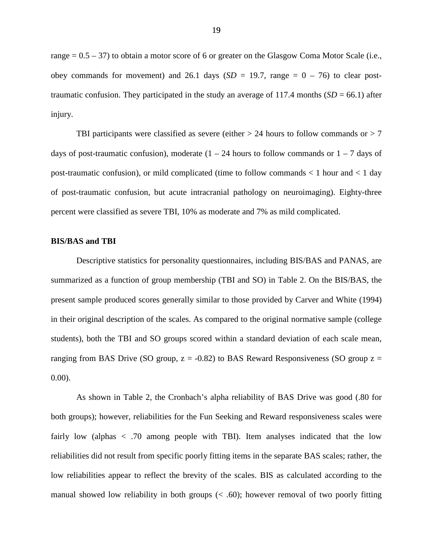range  $= 0.5 - 37$ ) to obtain a motor score of 6 or greater on the Glasgow Coma Motor Scale (i.e., obey commands for movement) and 26.1 days  $(SD = 19.7, \text{ range} = 0 - 76)$  to clear posttraumatic confusion. They participated in the study an average of 117.4 months  $(SD = 66.1)$  after injury.

TBI participants were classified as severe (either  $> 24$  hours to follow commands or  $> 7$ days of post-traumatic confusion), moderate  $(1 - 24$  hours to follow commands or  $1 - 7$  days of post-traumatic confusion), or mild complicated (time to follow commands  $< 1$  hour and  $< 1$  day of post-traumatic confusion, but acute intracranial pathology on neuroimaging). Eighty-three percent were classified as severe TBI, 10% as moderate and 7% as mild complicated.

#### **BIS/BAS and TBI**

Descriptive statistics for personality questionnaires, including BIS/BAS and PANAS, are summarized as a function of group membership (TBI and SO) in Table 2. On the BIS/BAS, the present sample produced scores generally similar to those provided by Carver and White (1994) in their original description of the scales. As compared to the original normative sample (college students), both the TBI and SO groups scored within a standard deviation of each scale mean, ranging from BAS Drive (SO group,  $z = -0.82$ ) to BAS Reward Responsiveness (SO group  $z =$ 0.00).

As shown in Table 2, the Cronbach's alpha reliability of BAS Drive was good (.80 for both groups); however, reliabilities for the Fun Seeking and Reward responsiveness scales were fairly low (alphas  $\langle$  .70 among people with TBI). Item analyses indicated that the low reliabilities did not result from specific poorly fitting items in the separate BAS scales; rather, the low reliabilities appear to reflect the brevity of the scales. BIS as calculated according to the manual showed low reliability in both groups  $(< .60)$ ; however removal of two poorly fitting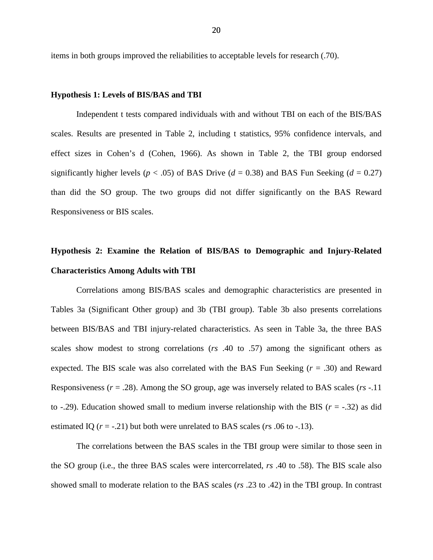items in both groups improved the reliabilities to acceptable levels for research (.70).

#### **Hypothesis 1: Levels of BIS/BAS and TBI**

Independent t tests compared individuals with and without TBI on each of the BIS/BAS scales. Results are presented in Table 2, including t statistics, 95% confidence intervals, and effect sizes in Cohen's d (Cohen, 1966). As shown in Table 2, the TBI group endorsed significantly higher levels ( $p < .05$ ) of BAS Drive ( $d = 0.38$ ) and BAS Fun Seeking ( $d = 0.27$ ) than did the SO group. The two groups did not differ significantly on the BAS Reward Responsiveness or BIS scales.

# **Hypothesis 2: Examine the Relation of BIS/BAS to Demographic and Injury-Related Characteristics Among Adults with TBI**

 Correlations among BIS/BAS scales and demographic characteristics are presented in Tables 3a (Significant Other group) and 3b (TBI group). Table 3b also presents correlations between BIS/BAS and TBI injury-related characteristics. As seen in Table 3a, the three BAS scales show modest to strong correlations (*rs* .40 to .57) among the significant others as expected. The BIS scale was also correlated with the BAS Fun Seeking (*r* = .30) and Reward Responsiveness (*r* = .28). Among the SO group, age was inversely related to BAS scales (*rs* -.11 to -.29). Education showed small to medium inverse relationship with the BIS (*r* = -.32) as did estimated IQ  $(r = -0.21)$  but both were unrelated to BAS scales  $(rs \cdot .06$  to  $-0.13)$ .

The correlations between the BAS scales in the TBI group were similar to those seen in the SO group (i.e., the three BAS scales were intercorrelated, *rs* .40 to .58). The BIS scale also showed small to moderate relation to the BAS scales (*rs* .23 to .42) in the TBI group. In contrast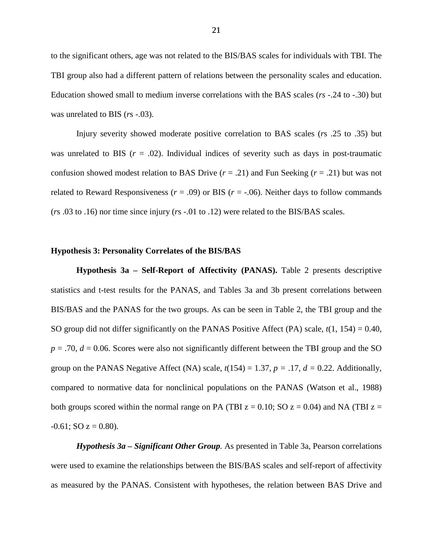to the significant others, age was not related to the BIS/BAS scales for individuals with TBI. The TBI group also had a different pattern of relations between the personality scales and education. Education showed small to medium inverse correlations with the BAS scales (*rs* -.24 to -.30) but was unrelated to BIS ( $rs$  -.03).

 Injury severity showed moderate positive correlation to BAS scales (*r*s .25 to .35) but was unrelated to BIS  $(r = .02)$ . Individual indices of severity such as days in post-traumatic confusion showed modest relation to BAS Drive (*r* = .21) and Fun Seeking (*r* = .21) but was not related to Reward Responsiveness ( $r = .09$ ) or BIS ( $r = -.06$ ). Neither days to follow commands (*r*s .03 to .16) nor time since injury (*r*s -.01 to .12) were related to the BIS/BAS scales.

#### **Hypothesis 3: Personality Correlates of the BIS/BAS**

**Hypothesis 3a – Self-Report of Affectivity (PANAS).** Table 2 presents descriptive statistics and t-test results for the PANAS, and Tables 3a and 3b present correlations between BIS/BAS and the PANAS for the two groups. As can be seen in Table 2, the TBI group and the SO group did not differ significantly on the PANAS Positive Affect (PA) scale, *t*(1, 154) = 0.40,  $p = .70$ ,  $d = 0.06$ . Scores were also not significantly different between the TBI group and the SO group on the PANAS Negative Affect (NA) scale,  $t(154) = 1.37$ ,  $p = .17$ ,  $d = 0.22$ . Additionally, compared to normative data for nonclinical populations on the PANAS (Watson et al., 1988) both groups scored within the normal range on PA (TBI  $z = 0.10$ ; SO  $z = 0.04$ ) and NA (TBI  $z =$  $-0.61$ ; SO z = 0.80).

*Hypothesis 3a – Significant Other Group.* As presented in Table 3a, Pearson correlations were used to examine the relationships between the BIS/BAS scales and self-report of affectivity as measured by the PANAS. Consistent with hypotheses, the relation between BAS Drive and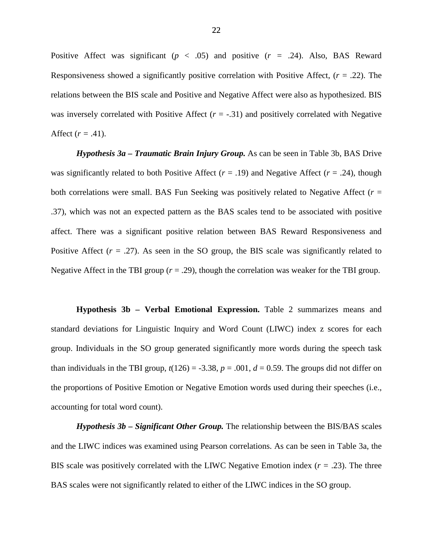Positive Affect was significant (*p* < .05) and positive (*r =* .24). Also, BAS Reward Responsiveness showed a significantly positive correlation with Positive Affect, (*r* = .22). The relations between the BIS scale and Positive and Negative Affect were also as hypothesized. BIS was inversely correlated with Positive Affect  $(r = -.31)$  and positively correlated with Negative Affect  $(r = .41)$ .

*Hypothesis 3a – Traumatic Brain Injury Group.* As can be seen in Table 3b, BAS Drive was significantly related to both Positive Affect  $(r = .19)$  and Negative Affect  $(r = .24)$ , though both correlations were small. BAS Fun Seeking was positively related to Negative Affect (*r* = .37), which was not an expected pattern as the BAS scales tend to be associated with positive affect. There was a significant positive relation between BAS Reward Responsiveness and Positive Affect  $(r = .27)$ . As seen in the SO group, the BIS scale was significantly related to Negative Affect in the TBI group  $(r = .29)$ , though the correlation was weaker for the TBI group.

**Hypothesis 3b – Verbal Emotional Expression.** Table 2 summarizes means and standard deviations for Linguistic Inquiry and Word Count (LIWC) index z scores for each group. Individuals in the SO group generated significantly more words during the speech task than individuals in the TBI group,  $t(126) = -3.38$ ,  $p = .001$ ,  $d = 0.59$ . The groups did not differ on the proportions of Positive Emotion or Negative Emotion words used during their speeches (i.e., accounting for total word count).

*Hypothesis 3b – Significant Other Group.* The relationship between the BIS/BAS scales and the LIWC indices was examined using Pearson correlations. As can be seen in Table 3a, the BIS scale was positively correlated with the LIWC Negative Emotion index (*r =* .23). The three BAS scales were not significantly related to either of the LIWC indices in the SO group.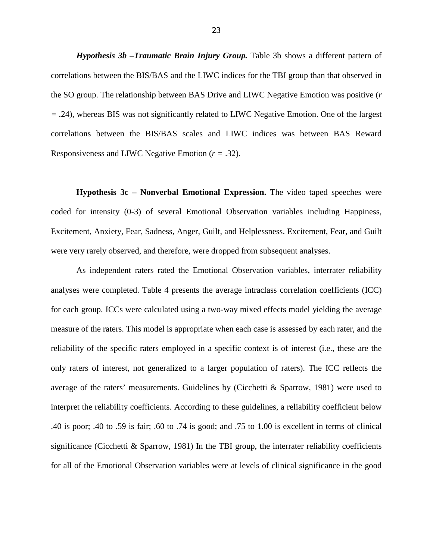*Hypothesis 3b –Traumatic Brain Injury Group.* Table 3b shows a different pattern of correlations between the BIS/BAS and the LIWC indices for the TBI group than that observed in the SO group. The relationship between BAS Drive and LIWC Negative Emotion was positive (*r =* .24), whereas BIS was not significantly related to LIWC Negative Emotion. One of the largest correlations between the BIS/BAS scales and LIWC indices was between BAS Reward Responsiveness and LIWC Negative Emotion (*r =* .32).

**Hypothesis 3c – Nonverbal Emotional Expression.** The video taped speeches were coded for intensity (0-3) of several Emotional Observation variables including Happiness, Excitement, Anxiety, Fear, Sadness, Anger, Guilt, and Helplessness. Excitement, Fear, and Guilt were very rarely observed, and therefore, were dropped from subsequent analyses.

As independent raters rated the Emotional Observation variables, interrater reliability analyses were completed. Table 4 presents the average intraclass correlation coefficients (ICC) for each group. ICCs were calculated using a two-way mixed effects model yielding the average measure of the raters. This model is appropriate when each case is assessed by each rater, and the reliability of the specific raters employed in a specific context is of interest (i.e., these are the only raters of interest, not generalized to a larger population of raters). The ICC reflects the average of the raters' measurements. Guidelines by (Cicchetti & Sparrow, 1981) were used to interpret the reliability coefficients. According to these guidelines, a reliability coefficient below .40 is poor; .40 to .59 is fair; .60 to .74 is good; and .75 to 1.00 is excellent in terms of clinical significance (Cicchetti  $\&$  Sparrow, 1981) In the TBI group, the interrater reliability coefficients for all of the Emotional Observation variables were at levels of clinical significance in the good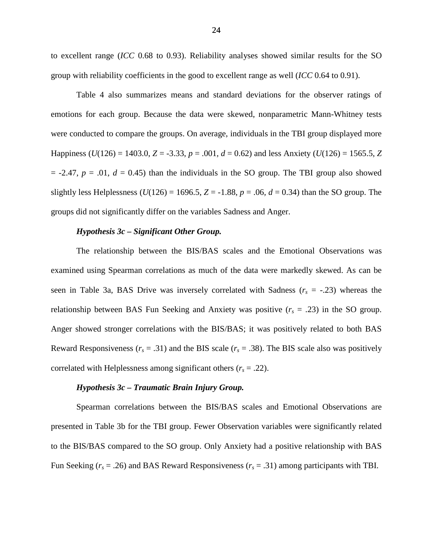to excellent range (*ICC* 0.68 to 0.93). Reliability analyses showed similar results for the SO group with reliability coefficients in the good to excellent range as well (*ICC* 0.64 to 0.91).

Table 4 also summarizes means and standard deviations for the observer ratings of emotions for each group. Because the data were skewed, nonparametric Mann-Whitney tests were conducted to compare the groups. On average, individuals in the TBI group displayed more Happiness ( $U(126) = 1403.0$ ,  $Z = -3.33$ ,  $p = .001$ ,  $d = 0.62$ ) and less Anxiety ( $U(126) = 1565.5$ ,  $Z = 0.62$ )  $= -2.47$ ,  $p = .01$ ,  $d = 0.45$ ) than the individuals in the SO group. The TBI group also showed slightly less Helplessness ( $U(126) = 1696.5$ ,  $Z = -1.88$ ,  $p = .06$ ,  $d = 0.34$ ) than the SO group. The groups did not significantly differ on the variables Sadness and Anger.

#### *Hypothesis 3c – Significant Other Group.*

The relationship between the BIS/BAS scales and the Emotional Observations was examined using Spearman correlations as much of the data were markedly skewed. As can be seen in Table 3a, BAS Drive was inversely correlated with Sadness (*r<sup>s</sup>* = -.23) whereas the relationship between BAS Fun Seeking and Anxiety was positive  $(r_s = .23)$  in the SO group. Anger showed stronger correlations with the BIS/BAS; it was positively related to both BAS Reward Responsiveness ( $r_s$  = .31) and the BIS scale ( $r_s$  = .38). The BIS scale also was positively correlated with Helplessness among significant others  $(r_s = .22)$ .

#### *Hypothesis 3c – Traumatic Brain Injury Group.*

Spearman correlations between the BIS/BAS scales and Emotional Observations are presented in Table 3b for the TBI group. Fewer Observation variables were significantly related to the BIS/BAS compared to the SO group. Only Anxiety had a positive relationship with BAS Fun Seeking ( $r_s$  = .26) and BAS Reward Responsiveness ( $r_s$  = .31) among participants with TBI.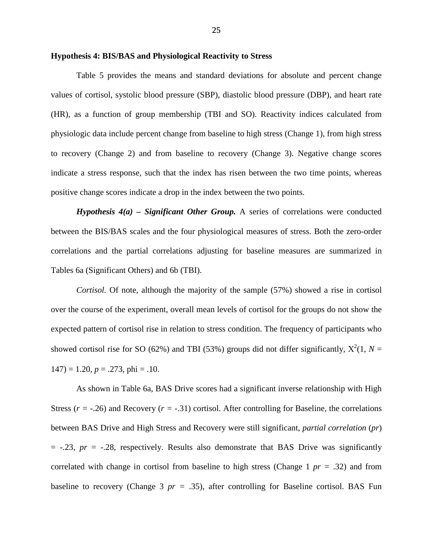#### **Hypothesis 4: BIS/BAS and Physiological Reactivity to Stress**

 Table 5 provides the means and standard deviations for absolute and percent change values of cortisol, systolic blood pressure (SBP), diastolic blood pressure (DBP), and heart rate (HR), as a function of group membership (TBI and SO). Reactivity indices calculated from physiologic data include percent change from baseline to high stress (Change 1), from high stress to recovery (Change 2) and from baseline to recovery (Change 3). Negative change scores indicate a stress response, such that the index has risen between the two time points, whereas positive change scores indicate a drop in the index between the two points.

*Hypothesis 4(a) – Significant Other Group.* A series of correlations were conducted between the BIS/BAS scales and the four physiological measures of stress. Both the zero-order correlations and the partial correlations adjusting for baseline measures are summarized in Tables 6a (Significant Others) and 6b (TBI).

*Cortisol.* Of note, although the majority of the sample (57%) showed a rise in cortisol over the course of the experiment, overall mean levels of cortisol for the groups do not show the expected pattern of cortisol rise in relation to stress condition. The frequency of participants who showed cortisol rise for SO (62%) and TBI (53%) groups did not differ significantly,  $X^2(1, N =$  $147$ ) = 1.20,  $p = .273$ , phi = .10.

As shown in Table 6a, BAS Drive scores had a significant inverse relationship with High Stress ( $r = -0.26$ ) and Recovery ( $r = -0.31$ ) cortisol. After controlling for Baseline, the correlations between BAS Drive and High Stress and Recovery were still significant, *partial correlation* (*pr*)  $= -0.23$ ,  $pr = -0.28$ , respectively. Results also demonstrate that BAS Drive was significantly correlated with change in cortisol from baseline to high stress (Change 1  $pr = .32$ ) and from baseline to recovery (Change 3  $pr = .35$ ), after controlling for Baseline cortisol. BAS Fun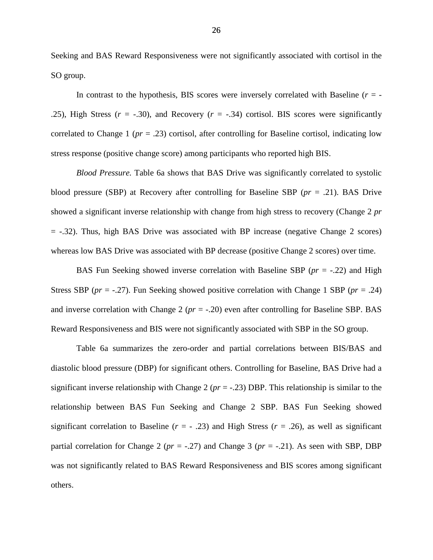Seeking and BAS Reward Responsiveness were not significantly associated with cortisol in the SO group.

In contrast to the hypothesis, BIS scores were inversely correlated with Baseline  $(r = -1)$ .25), High Stress  $(r = -.30)$ , and Recovery  $(r = -.34)$  cortisol. BIS scores were significantly correlated to Change 1 (*pr* = .23) cortisol, after controlling for Baseline cortisol, indicating low stress response (positive change score) among participants who reported high BIS.

*Blood Pressure.* Table 6a shows that BAS Drive was significantly correlated to systolic blood pressure (SBP) at Recovery after controlling for Baseline SBP (*pr* = .21). BAS Drive showed a significant inverse relationship with change from high stress to recovery (Change 2 *pr* = -.32). Thus, high BAS Drive was associated with BP increase (negative Change 2 scores) whereas low BAS Drive was associated with BP decrease (positive Change 2 scores) over time.

BAS Fun Seeking showed inverse correlation with Baseline SBP (*pr* = -.22) and High Stress SBP (*pr* = -.27). Fun Seeking showed positive correlation with Change 1 SBP (*pr* = .24) and inverse correlation with Change 2 (*pr* = -.20) even after controlling for Baseline SBP. BAS Reward Responsiveness and BIS were not significantly associated with SBP in the SO group.

Table 6a summarizes the zero-order and partial correlations between BIS/BAS and diastolic blood pressure (DBP) for significant others. Controlling for Baseline, BAS Drive had a significant inverse relationship with Change 2 (*pr* = -.23) DBP. This relationship is similar to the relationship between BAS Fun Seeking and Change 2 SBP. BAS Fun Seeking showed significant correlation to Baseline  $(r = -0.23)$  and High Stress  $(r = 0.26)$ , as well as significant partial correlation for Change 2 (*pr* = -.27) and Change 3 (*pr* = -.21). As seen with SBP, DBP was not significantly related to BAS Reward Responsiveness and BIS scores among significant others.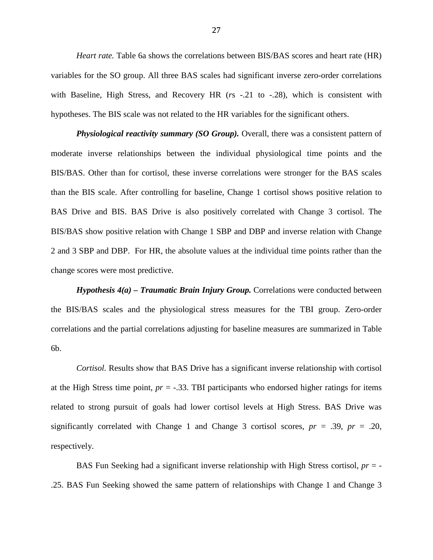*Heart rate.* Table 6a shows the correlations between BIS/BAS scores and heart rate (HR) variables for the SO group. All three BAS scales had significant inverse zero-order correlations with Baseline, High Stress, and Recovery HR ( $rs$  -.21 to -.28), which is consistent with hypotheses. The BIS scale was not related to the HR variables for the significant others.

*Physiological reactivity summary (SO Group).* Overall, there was a consistent pattern of moderate inverse relationships between the individual physiological time points and the BIS/BAS. Other than for cortisol, these inverse correlations were stronger for the BAS scales than the BIS scale. After controlling for baseline, Change 1 cortisol shows positive relation to BAS Drive and BIS. BAS Drive is also positively correlated with Change 3 cortisol. The BIS/BAS show positive relation with Change 1 SBP and DBP and inverse relation with Change 2 and 3 SBP and DBP. For HR, the absolute values at the individual time points rather than the change scores were most predictive.

*Hypothesis 4(a) – Traumatic Brain Injury Group.* Correlations were conducted between the BIS/BAS scales and the physiological stress measures for the TBI group. Zero-order correlations and the partial correlations adjusting for baseline measures are summarized in Table 6b.

*Cortisol.* Results show that BAS Drive has a significant inverse relationship with cortisol at the High Stress time point,  $pr = -.33$ . TBI participants who endorsed higher ratings for items related to strong pursuit of goals had lower cortisol levels at High Stress. BAS Drive was significantly correlated with Change 1 and Change 3 cortisol scores, *pr* = .39, *pr* = .20, respectively.

BAS Fun Seeking had a significant inverse relationship with High Stress cortisol, *pr* = - .25. BAS Fun Seeking showed the same pattern of relationships with Change 1 and Change 3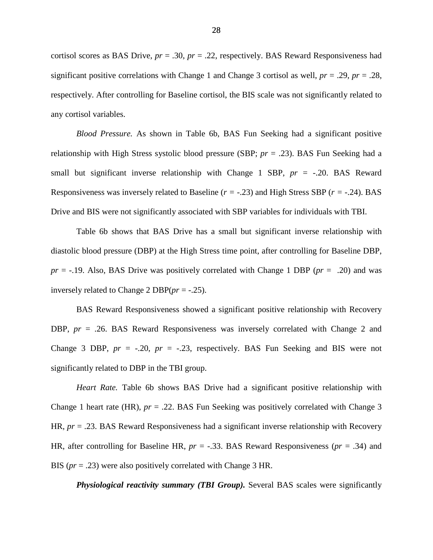cortisol scores as BAS Drive, *pr* = .30, *pr* = .22, respectively. BAS Reward Responsiveness had significant positive correlations with Change 1 and Change 3 cortisol as well, *pr* = .29, *pr* = .28, respectively. After controlling for Baseline cortisol, the BIS scale was not significantly related to any cortisol variables.

*Blood Pressure.* As shown in Table 6b, BAS Fun Seeking had a significant positive relationship with High Stress systolic blood pressure (SBP; *pr* = .23). BAS Fun Seeking had a small but significant inverse relationship with Change 1 SBP, *pr* = -.20. BAS Reward Responsiveness was inversely related to Baseline (*r =* -.23) and High Stress SBP (*r =* -.24). BAS Drive and BIS were not significantly associated with SBP variables for individuals with TBI.

Table 6b shows that BAS Drive has a small but significant inverse relationship with diastolic blood pressure (DBP) at the High Stress time point, after controlling for Baseline DBP,  $pr = -.19$ . Also, BAS Drive was positively correlated with Change 1 DBP ( $pr = .20$ ) and was inversely related to Change 2 DBP(*pr* = -.25).

BAS Reward Responsiveness showed a significant positive relationship with Recovery DBP,  $pr = .26$ . BAS Reward Responsiveness was inversely correlated with Change 2 and Change 3 DBP,  $pr = -.20$ ,  $pr = -.23$ , respectively. BAS Fun Seeking and BIS were not significantly related to DBP in the TBI group.

*Heart Rate.* Table 6b shows BAS Drive had a significant positive relationship with Change 1 heart rate (HR), *pr* = .22. BAS Fun Seeking was positively correlated with Change 3 HR, *pr* = .23. BAS Reward Responsiveness had a significant inverse relationship with Recovery HR, after controlling for Baseline HR, *pr* = -.33. BAS Reward Responsiveness (*pr* = .34) and BIS (*pr* = .23) were also positively correlated with Change 3 HR.

*Physiological reactivity summary (TBI Group).* Several BAS scales were significantly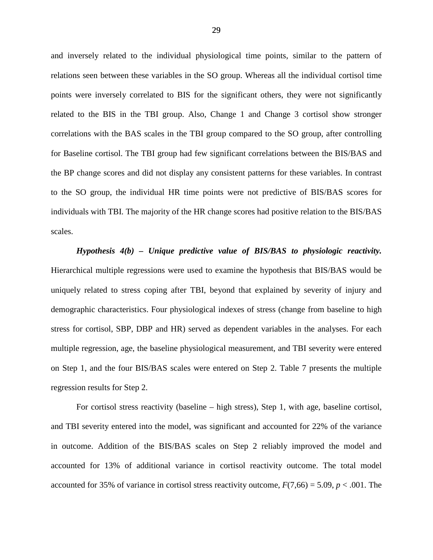and inversely related to the individual physiological time points, similar to the pattern of relations seen between these variables in the SO group. Whereas all the individual cortisol time points were inversely correlated to BIS for the significant others, they were not significantly related to the BIS in the TBI group. Also, Change 1 and Change 3 cortisol show stronger correlations with the BAS scales in the TBI group compared to the SO group, after controlling for Baseline cortisol. The TBI group had few significant correlations between the BIS/BAS and the BP change scores and did not display any consistent patterns for these variables. In contrast to the SO group, the individual HR time points were not predictive of BIS/BAS scores for individuals with TBI. The majority of the HR change scores had positive relation to the BIS/BAS scales.

*Hypothesis 4(b) – Unique predictive value of BIS/BAS to physiologic reactivity.* Hierarchical multiple regressions were used to examine the hypothesis that BIS/BAS would be uniquely related to stress coping after TBI, beyond that explained by severity of injury and demographic characteristics. Four physiological indexes of stress (change from baseline to high stress for cortisol, SBP, DBP and HR) served as dependent variables in the analyses. For each multiple regression, age, the baseline physiological measurement, and TBI severity were entered on Step 1, and the four BIS/BAS scales were entered on Step 2. Table 7 presents the multiple regression results for Step 2.

 For cortisol stress reactivity (baseline – high stress), Step 1, with age, baseline cortisol, and TBI severity entered into the model, was significant and accounted for 22% of the variance in outcome. Addition of the BIS/BAS scales on Step 2 reliably improved the model and accounted for 13% of additional variance in cortisol reactivity outcome. The total model accounted for 35% of variance in cortisol stress reactivity outcome,  $F(7,66) = 5.09$ ,  $p < .001$ . The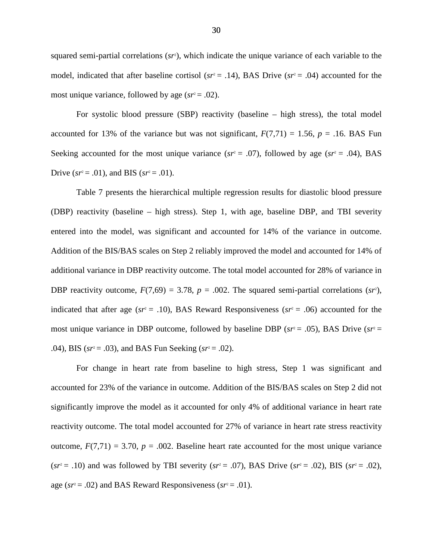squared semi-partial correlations (*sr*<sup>2</sup> ), which indicate the unique variance of each variable to the model, indicated that after baseline cortisol ( $sr^2 = .14$ ), BAS Drive ( $sr^2 = .04$ ) accounted for the most unique variance, followed by age  $(sr^2 = .02)$ .

 For systolic blood pressure (SBP) reactivity (baseline – high stress), the total model accounted for 13% of the variance but was not significant,  $F(7,71) = 1.56$ ,  $p = .16$ . BAS Fun Seeking accounted for the most unique variance ( $sr^2 = .07$ ), followed by age ( $sr^2 = .04$ ), BAS Drive  $(sr^2 = .01)$ , and BIS  $(sr^2 = .01)$ .

 Table 7 presents the hierarchical multiple regression results for diastolic blood pressure (DBP) reactivity (baseline – high stress). Step 1, with age, baseline DBP, and TBI severity entered into the model, was significant and accounted for 14% of the variance in outcome. Addition of the BIS/BAS scales on Step 2 reliably improved the model and accounted for 14% of additional variance in DBP reactivity outcome. The total model accounted for 28% of variance in DBP reactivity outcome,  $F(7,69) = 3.78$ ,  $p = .002$ . The squared semi-partial correlations  $(sr^2)$ , indicated that after age ( $sr^2 = .10$ ), BAS Reward Responsiveness ( $sr^2 = .06$ ) accounted for the most unique variance in DBP outcome, followed by baseline DBP ( $sr^2 = .05$ ), BAS Drive ( $sr^2 = .05$ ) .04), BIS ( $sr^2 = .03$ ), and BAS Fun Seeking ( $sr^2 = .02$ ).

 For change in heart rate from baseline to high stress, Step 1 was significant and accounted for 23% of the variance in outcome. Addition of the BIS/BAS scales on Step 2 did not significantly improve the model as it accounted for only 4% of additional variance in heart rate reactivity outcome. The total model accounted for 27% of variance in heart rate stress reactivity outcome,  $F(7,71) = 3.70$ ,  $p = .002$ . Baseline heart rate accounted for the most unique variance  $(sr^2 = .10)$  and was followed by TBI severity  $(sr^2 = .07)$ , BAS Drive  $(sr^2 = .02)$ , BIS  $(sr^2 = .02)$ , age ( $sr^2 = .02$ ) and BAS Reward Responsiveness ( $sr^2 = .01$ ).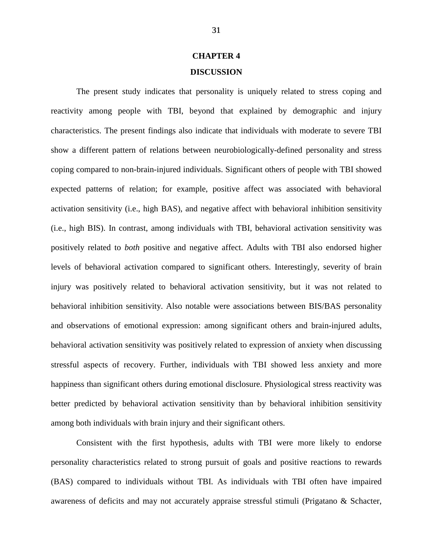# **CHAPTER 4 DISCUSSION**

The present study indicates that personality is uniquely related to stress coping and reactivity among people with TBI, beyond that explained by demographic and injury characteristics. The present findings also indicate that individuals with moderate to severe TBI show a different pattern of relations between neurobiologically-defined personality and stress coping compared to non-brain-injured individuals. Significant others of people with TBI showed expected patterns of relation; for example, positive affect was associated with behavioral activation sensitivity (i.e., high BAS), and negative affect with behavioral inhibition sensitivity (i.e., high BIS). In contrast, among individuals with TBI, behavioral activation sensitivity was positively related to *both* positive and negative affect. Adults with TBI also endorsed higher levels of behavioral activation compared to significant others. Interestingly, severity of brain injury was positively related to behavioral activation sensitivity, but it was not related to behavioral inhibition sensitivity. Also notable were associations between BIS/BAS personality and observations of emotional expression: among significant others and brain-injured adults, behavioral activation sensitivity was positively related to expression of anxiety when discussing stressful aspects of recovery. Further, individuals with TBI showed less anxiety and more happiness than significant others during emotional disclosure. Physiological stress reactivity was better predicted by behavioral activation sensitivity than by behavioral inhibition sensitivity among both individuals with brain injury and their significant others.

Consistent with the first hypothesis, adults with TBI were more likely to endorse personality characteristics related to strong pursuit of goals and positive reactions to rewards (BAS) compared to individuals without TBI. As individuals with TBI often have impaired awareness of deficits and may not accurately appraise stressful stimuli (Prigatano & Schacter,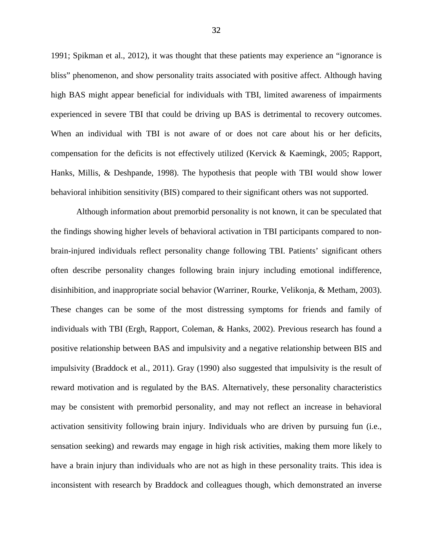1991; Spikman et al., 2012), it was thought that these patients may experience an "ignorance is bliss" phenomenon, and show personality traits associated with positive affect. Although having high BAS might appear beneficial for individuals with TBI, limited awareness of impairments experienced in severe TBI that could be driving up BAS is detrimental to recovery outcomes. When an individual with TBI is not aware of or does not care about his or her deficits, compensation for the deficits is not effectively utilized (Kervick & Kaemingk, 2005; Rapport, Hanks, Millis, & Deshpande, 1998). The hypothesis that people with TBI would show lower behavioral inhibition sensitivity (BIS) compared to their significant others was not supported.

Although information about premorbid personality is not known, it can be speculated that the findings showing higher levels of behavioral activation in TBI participants compared to nonbrain-injured individuals reflect personality change following TBI. Patients' significant others often describe personality changes following brain injury including emotional indifference, disinhibition, and inappropriate social behavior (Warriner, Rourke, Velikonja, & Metham, 2003). These changes can be some of the most distressing symptoms for friends and family of individuals with TBI (Ergh, Rapport, Coleman, & Hanks, 2002). Previous research has found a positive relationship between BAS and impulsivity and a negative relationship between BIS and impulsivity (Braddock et al., 2011). Gray (1990) also suggested that impulsivity is the result of reward motivation and is regulated by the BAS. Alternatively, these personality characteristics may be consistent with premorbid personality, and may not reflect an increase in behavioral activation sensitivity following brain injury. Individuals who are driven by pursuing fun (i.e., sensation seeking) and rewards may engage in high risk activities, making them more likely to have a brain injury than individuals who are not as high in these personality traits. This idea is inconsistent with research by Braddock and colleagues though, which demonstrated an inverse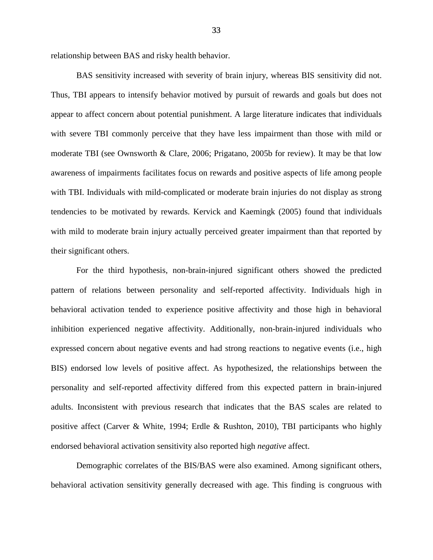relationship between BAS and risky health behavior.

BAS sensitivity increased with severity of brain injury, whereas BIS sensitivity did not. Thus, TBI appears to intensify behavior motived by pursuit of rewards and goals but does not appear to affect concern about potential punishment. A large literature indicates that individuals with severe TBI commonly perceive that they have less impairment than those with mild or moderate TBI (see Ownsworth & Clare, 2006; Prigatano, 2005b for review). It may be that low awareness of impairments facilitates focus on rewards and positive aspects of life among people with TBI. Individuals with mild-complicated or moderate brain injuries do not display as strong tendencies to be motivated by rewards. Kervick and Kaemingk (2005) found that individuals with mild to moderate brain injury actually perceived greater impairment than that reported by their significant others.

For the third hypothesis, non-brain-injured significant others showed the predicted pattern of relations between personality and self-reported affectivity. Individuals high in behavioral activation tended to experience positive affectivity and those high in behavioral inhibition experienced negative affectivity. Additionally, non-brain-injured individuals who expressed concern about negative events and had strong reactions to negative events (i.e., high BIS) endorsed low levels of positive affect. As hypothesized, the relationships between the personality and self-reported affectivity differed from this expected pattern in brain-injured adults. Inconsistent with previous research that indicates that the BAS scales are related to positive affect (Carver & White, 1994; Erdle & Rushton, 2010), TBI participants who highly endorsed behavioral activation sensitivity also reported high *negative* affect.

Demographic correlates of the BIS/BAS were also examined. Among significant others, behavioral activation sensitivity generally decreased with age. This finding is congruous with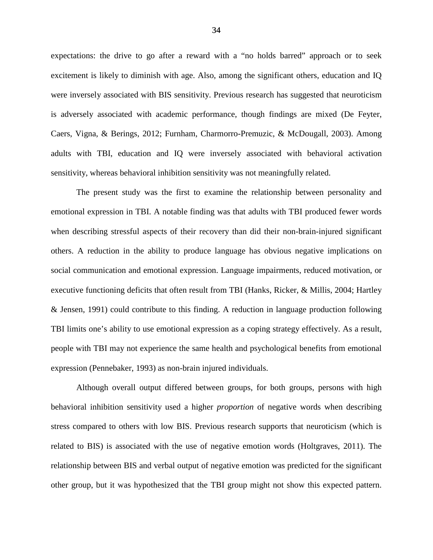expectations: the drive to go after a reward with a "no holds barred" approach or to seek excitement is likely to diminish with age. Also, among the significant others, education and IQ were inversely associated with BIS sensitivity. Previous research has suggested that neuroticism is adversely associated with academic performance, though findings are mixed (De Feyter, Caers, Vigna, & Berings, 2012; Furnham, Charmorro-Premuzic, & McDougall, 2003). Among adults with TBI, education and IQ were inversely associated with behavioral activation sensitivity, whereas behavioral inhibition sensitivity was not meaningfully related.

The present study was the first to examine the relationship between personality and emotional expression in TBI. A notable finding was that adults with TBI produced fewer words when describing stressful aspects of their recovery than did their non-brain-injured significant others. A reduction in the ability to produce language has obvious negative implications on social communication and emotional expression. Language impairments, reduced motivation, or executive functioning deficits that often result from TBI (Hanks, Ricker, & Millis, 2004; Hartley & Jensen, 1991) could contribute to this finding. A reduction in language production following TBI limits one's ability to use emotional expression as a coping strategy effectively. As a result, people with TBI may not experience the same health and psychological benefits from emotional expression (Pennebaker, 1993) as non-brain injured individuals.

Although overall output differed between groups, for both groups, persons with high behavioral inhibition sensitivity used a higher *proportion* of negative words when describing stress compared to others with low BIS. Previous research supports that neuroticism (which is related to BIS) is associated with the use of negative emotion words (Holtgraves, 2011). The relationship between BIS and verbal output of negative emotion was predicted for the significant other group, but it was hypothesized that the TBI group might not show this expected pattern.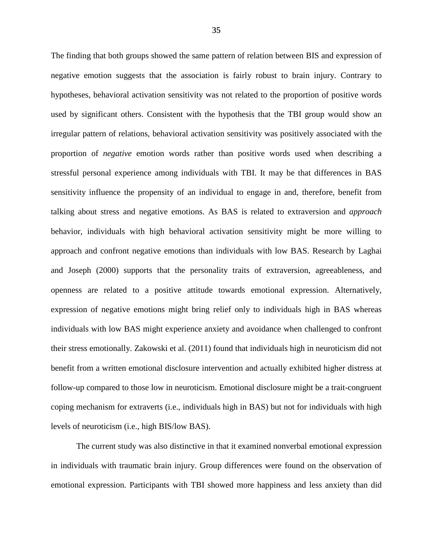The finding that both groups showed the same pattern of relation between BIS and expression of negative emotion suggests that the association is fairly robust to brain injury. Contrary to hypotheses, behavioral activation sensitivity was not related to the proportion of positive words used by significant others. Consistent with the hypothesis that the TBI group would show an irregular pattern of relations, behavioral activation sensitivity was positively associated with the proportion of *negative* emotion words rather than positive words used when describing a stressful personal experience among individuals with TBI. It may be that differences in BAS sensitivity influence the propensity of an individual to engage in and, therefore, benefit from talking about stress and negative emotions. As BAS is related to extraversion and *approach* behavior, individuals with high behavioral activation sensitivity might be more willing to approach and confront negative emotions than individuals with low BAS. Research by Laghai and Joseph (2000) supports that the personality traits of extraversion, agreeableness, and openness are related to a positive attitude towards emotional expression. Alternatively, expression of negative emotions might bring relief only to individuals high in BAS whereas individuals with low BAS might experience anxiety and avoidance when challenged to confront their stress emotionally. Zakowski et al. (2011) found that individuals high in neuroticism did not benefit from a written emotional disclosure intervention and actually exhibited higher distress at follow-up compared to those low in neuroticism. Emotional disclosure might be a trait-congruent coping mechanism for extraverts (i.e., individuals high in BAS) but not for individuals with high levels of neuroticism (i.e., high BIS/low BAS).

The current study was also distinctive in that it examined nonverbal emotional expression in individuals with traumatic brain injury. Group differences were found on the observation of emotional expression. Participants with TBI showed more happiness and less anxiety than did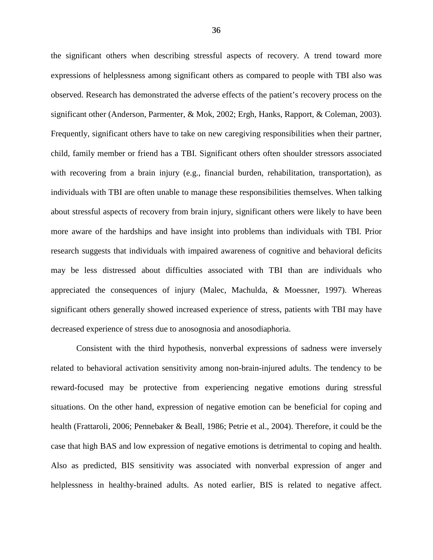the significant others when describing stressful aspects of recovery. A trend toward more expressions of helplessness among significant others as compared to people with TBI also was observed. Research has demonstrated the adverse effects of the patient's recovery process on the significant other (Anderson, Parmenter, & Mok, 2002; Ergh, Hanks, Rapport, & Coleman, 2003). Frequently, significant others have to take on new caregiving responsibilities when their partner, child, family member or friend has a TBI. Significant others often shoulder stressors associated with recovering from a brain injury (e.g., financial burden, rehabilitation, transportation), as individuals with TBI are often unable to manage these responsibilities themselves. When talking about stressful aspects of recovery from brain injury, significant others were likely to have been more aware of the hardships and have insight into problems than individuals with TBI. Prior research suggests that individuals with impaired awareness of cognitive and behavioral deficits may be less distressed about difficulties associated with TBI than are individuals who appreciated the consequences of injury (Malec, Machulda, & Moessner, 1997). Whereas significant others generally showed increased experience of stress, patients with TBI may have decreased experience of stress due to anosognosia and anosodiaphoria.

Consistent with the third hypothesis, nonverbal expressions of sadness were inversely related to behavioral activation sensitivity among non-brain-injured adults. The tendency to be reward-focused may be protective from experiencing negative emotions during stressful situations. On the other hand, expression of negative emotion can be beneficial for coping and health (Frattaroli, 2006; Pennebaker & Beall, 1986; Petrie et al., 2004). Therefore, it could be the case that high BAS and low expression of negative emotions is detrimental to coping and health. Also as predicted, BIS sensitivity was associated with nonverbal expression of anger and helplessness in healthy-brained adults. As noted earlier, BIS is related to negative affect.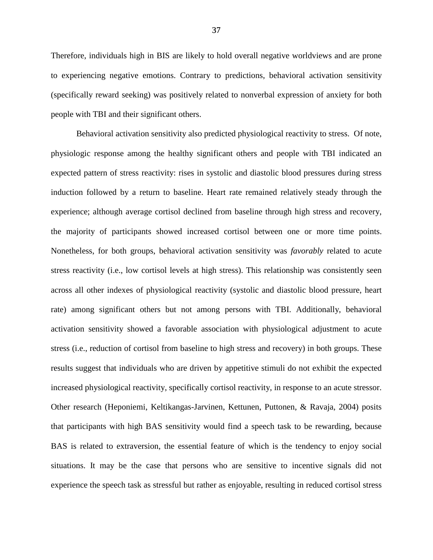Therefore, individuals high in BIS are likely to hold overall negative worldviews and are prone to experiencing negative emotions. Contrary to predictions, behavioral activation sensitivity (specifically reward seeking) was positively related to nonverbal expression of anxiety for both people with TBI and their significant others.

Behavioral activation sensitivity also predicted physiological reactivity to stress. Of note, physiologic response among the healthy significant others and people with TBI indicated an expected pattern of stress reactivity: rises in systolic and diastolic blood pressures during stress induction followed by a return to baseline. Heart rate remained relatively steady through the experience; although average cortisol declined from baseline through high stress and recovery, the majority of participants showed increased cortisol between one or more time points. Nonetheless, for both groups, behavioral activation sensitivity was *favorably* related to acute stress reactivity (i.e., low cortisol levels at high stress). This relationship was consistently seen across all other indexes of physiological reactivity (systolic and diastolic blood pressure, heart rate) among significant others but not among persons with TBI. Additionally, behavioral activation sensitivity showed a favorable association with physiological adjustment to acute stress (i.e., reduction of cortisol from baseline to high stress and recovery) in both groups. These results suggest that individuals who are driven by appetitive stimuli do not exhibit the expected increased physiological reactivity, specifically cortisol reactivity, in response to an acute stressor. Other research (Heponiemi, Keltikangas-Jarvinen, Kettunen, Puttonen, & Ravaja, 2004) posits that participants with high BAS sensitivity would find a speech task to be rewarding, because BAS is related to extraversion, the essential feature of which is the tendency to enjoy social situations. It may be the case that persons who are sensitive to incentive signals did not experience the speech task as stressful but rather as enjoyable, resulting in reduced cortisol stress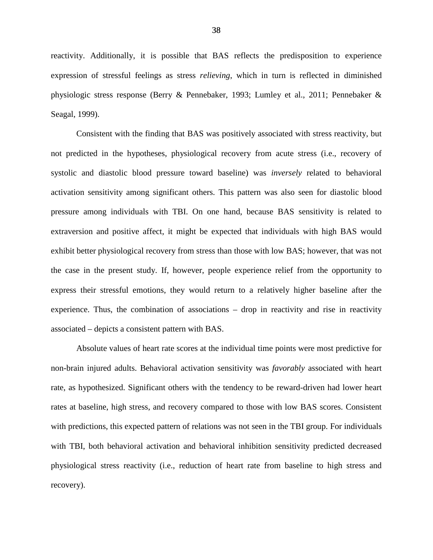reactivity. Additionally, it is possible that BAS reflects the predisposition to experience expression of stressful feelings as stress *relieving*, which in turn is reflected in diminished physiologic stress response (Berry & Pennebaker, 1993; Lumley et al., 2011; Pennebaker & Seagal, 1999).

Consistent with the finding that BAS was positively associated with stress reactivity, but not predicted in the hypotheses, physiological recovery from acute stress (i.e., recovery of systolic and diastolic blood pressure toward baseline) was *inversely* related to behavioral activation sensitivity among significant others. This pattern was also seen for diastolic blood pressure among individuals with TBI. On one hand, because BAS sensitivity is related to extraversion and positive affect, it might be expected that individuals with high BAS would exhibit better physiological recovery from stress than those with low BAS; however, that was not the case in the present study. If, however, people experience relief from the opportunity to express their stressful emotions, they would return to a relatively higher baseline after the experience. Thus, the combination of associations – drop in reactivity and rise in reactivity associated – depicts a consistent pattern with BAS.

Absolute values of heart rate scores at the individual time points were most predictive for non-brain injured adults. Behavioral activation sensitivity was *favorably* associated with heart rate, as hypothesized. Significant others with the tendency to be reward-driven had lower heart rates at baseline, high stress, and recovery compared to those with low BAS scores. Consistent with predictions, this expected pattern of relations was not seen in the TBI group. For individuals with TBI, both behavioral activation and behavioral inhibition sensitivity predicted decreased physiological stress reactivity (i.e., reduction of heart rate from baseline to high stress and recovery).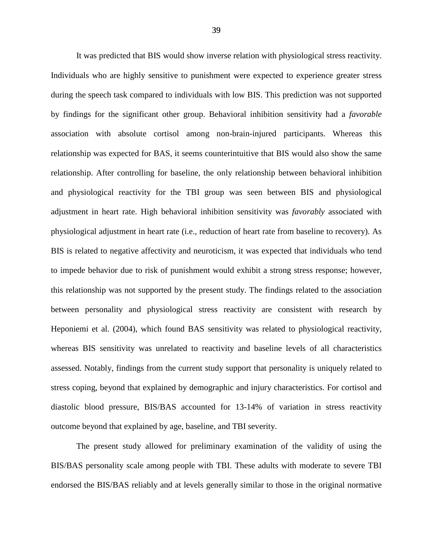It was predicted that BIS would show inverse relation with physiological stress reactivity. Individuals who are highly sensitive to punishment were expected to experience greater stress during the speech task compared to individuals with low BIS. This prediction was not supported by findings for the significant other group. Behavioral inhibition sensitivity had a *favorable* association with absolute cortisol among non-brain-injured participants. Whereas this relationship was expected for BAS, it seems counterintuitive that BIS would also show the same relationship. After controlling for baseline, the only relationship between behavioral inhibition and physiological reactivity for the TBI group was seen between BIS and physiological adjustment in heart rate. High behavioral inhibition sensitivity was *favorably* associated with physiological adjustment in heart rate (i.e., reduction of heart rate from baseline to recovery). As BIS is related to negative affectivity and neuroticism, it was expected that individuals who tend to impede behavior due to risk of punishment would exhibit a strong stress response; however, this relationship was not supported by the present study. The findings related to the association between personality and physiological stress reactivity are consistent with research by Heponiemi et al. (2004), which found BAS sensitivity was related to physiological reactivity, whereas BIS sensitivity was unrelated to reactivity and baseline levels of all characteristics assessed. Notably, findings from the current study support that personality is uniquely related to stress coping, beyond that explained by demographic and injury characteristics. For cortisol and diastolic blood pressure, BIS/BAS accounted for 13-14% of variation in stress reactivity outcome beyond that explained by age, baseline, and TBI severity.

The present study allowed for preliminary examination of the validity of using the BIS/BAS personality scale among people with TBI. These adults with moderate to severe TBI endorsed the BIS/BAS reliably and at levels generally similar to those in the original normative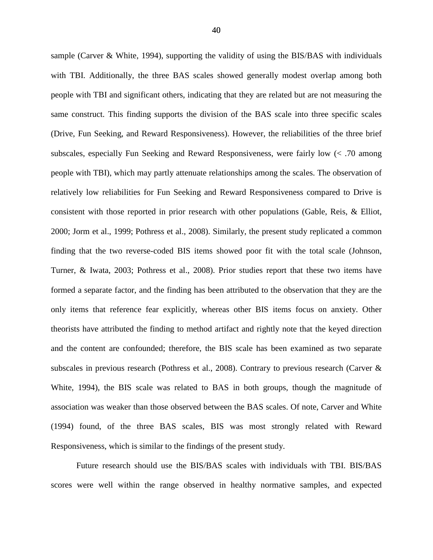sample (Carver & White, 1994), supporting the validity of using the BIS/BAS with individuals with TBI. Additionally, the three BAS scales showed generally modest overlap among both people with TBI and significant others, indicating that they are related but are not measuring the same construct. This finding supports the division of the BAS scale into three specific scales (Drive, Fun Seeking, and Reward Responsiveness). However, the reliabilities of the three brief subscales, especially Fun Seeking and Reward Responsiveness, were fairly low (< .70 among people with TBI), which may partly attenuate relationships among the scales. The observation of relatively low reliabilities for Fun Seeking and Reward Responsiveness compared to Drive is consistent with those reported in prior research with other populations (Gable, Reis, & Elliot, 2000; Jorm et al., 1999; Pothress et al., 2008). Similarly, the present study replicated a common finding that the two reverse-coded BIS items showed poor fit with the total scale (Johnson, Turner, & Iwata, 2003; Pothress et al., 2008). Prior studies report that these two items have formed a separate factor, and the finding has been attributed to the observation that they are the only items that reference fear explicitly, whereas other BIS items focus on anxiety. Other theorists have attributed the finding to method artifact and rightly note that the keyed direction and the content are confounded; therefore, the BIS scale has been examined as two separate subscales in previous research (Pothress et al., 2008). Contrary to previous research (Carver & White, 1994), the BIS scale was related to BAS in both groups, though the magnitude of association was weaker than those observed between the BAS scales. Of note, Carver and White (1994) found, of the three BAS scales, BIS was most strongly related with Reward Responsiveness, which is similar to the findings of the present study.

Future research should use the BIS/BAS scales with individuals with TBI. BIS/BAS scores were well within the range observed in healthy normative samples, and expected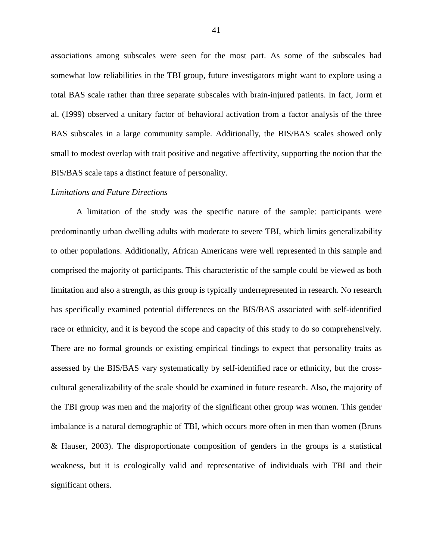associations among subscales were seen for the most part. As some of the subscales had somewhat low reliabilities in the TBI group, future investigators might want to explore using a total BAS scale rather than three separate subscales with brain-injured patients. In fact, Jorm et al. (1999) observed a unitary factor of behavioral activation from a factor analysis of the three BAS subscales in a large community sample. Additionally, the BIS/BAS scales showed only small to modest overlap with trait positive and negative affectivity, supporting the notion that the BIS/BAS scale taps a distinct feature of personality.

### *Limitations and Future Directions*

 A limitation of the study was the specific nature of the sample: participants were predominantly urban dwelling adults with moderate to severe TBI, which limits generalizability to other populations. Additionally, African Americans were well represented in this sample and comprised the majority of participants. This characteristic of the sample could be viewed as both limitation and also a strength, as this group is typically underrepresented in research. No research has specifically examined potential differences on the BIS/BAS associated with self-identified race or ethnicity, and it is beyond the scope and capacity of this study to do so comprehensively. There are no formal grounds or existing empirical findings to expect that personality traits as assessed by the BIS/BAS vary systematically by self-identified race or ethnicity, but the crosscultural generalizability of the scale should be examined in future research. Also, the majority of the TBI group was men and the majority of the significant other group was women. This gender imbalance is a natural demographic of TBI, which occurs more often in men than women (Bruns & Hauser, 2003). The disproportionate composition of genders in the groups is a statistical weakness, but it is ecologically valid and representative of individuals with TBI and their significant others.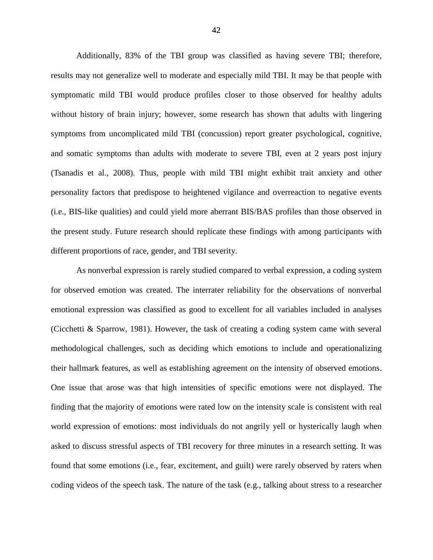Additionally, 83% of the TBI group was classified as having severe TBI; therefore, results may not generalize well to moderate and especially mild TBI. It may be that people with symptomatic mild TBI would produce profiles closer to those observed for healthy adults without history of brain injury; however, some research has shown that adults with lingering symptoms from uncomplicated mild TBI (concussion) report greater psychological, cognitive, and somatic symptoms than adults with moderate to severe TBI, even at 2 years post injury (Tsanadis et al., 2008). Thus, people with mild TBI might exhibit trait anxiety and other personality factors that predispose to heightened vigilance and overreaction to negative events (i.e., BIS-like qualities) and could yield more aberrant BIS/BAS profiles than those observed in the present study. Future research should replicate these findings with among participants with different proportions of race, gender, and TBI severity.

As nonverbal expression is rarely studied compared to verbal expression, a coding system for observed emotion was created. The interrater reliability for the observations of nonverbal emotional expression was classified as good to excellent for all variables included in analyses (Cicchetti & Sparrow, 1981). However, the task of creating a coding system came with several methodological challenges, such as deciding which emotions to include and operationalizing their hallmark features, as well as establishing agreement on the intensity of observed emotions. One issue that arose was that high intensities of specific emotions were not displayed. The finding that the majority of emotions were rated low on the intensity scale is consistent with real world expression of emotions: most individuals do not angrily yell or hysterically laugh when asked to discuss stressful aspects of TBI recovery for three minutes in a research setting. It was found that some emotions (i.e., fear, excitement, and guilt) were rarely observed by raters when coding videos of the speech task. The nature of the task (e.g., talking about stress to a researcher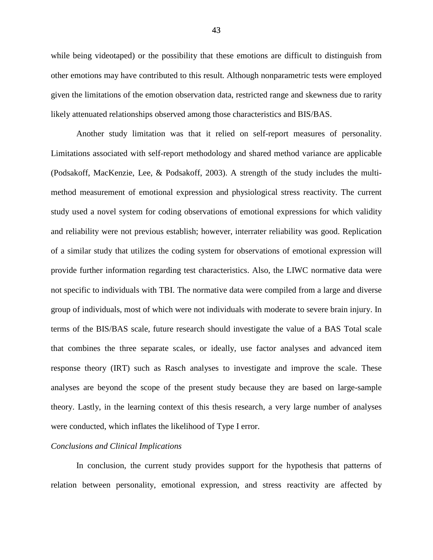while being videotaped) or the possibility that these emotions are difficult to distinguish from other emotions may have contributed to this result. Although nonparametric tests were employed given the limitations of the emotion observation data, restricted range and skewness due to rarity likely attenuated relationships observed among those characteristics and BIS/BAS.

 Another study limitation was that it relied on self-report measures of personality. Limitations associated with self-report methodology and shared method variance are applicable (Podsakoff, MacKenzie, Lee, & Podsakoff, 2003). A strength of the study includes the multimethod measurement of emotional expression and physiological stress reactivity. The current study used a novel system for coding observations of emotional expressions for which validity and reliability were not previous establish; however, interrater reliability was good. Replication of a similar study that utilizes the coding system for observations of emotional expression will provide further information regarding test characteristics. Also, the LIWC normative data were not specific to individuals with TBI. The normative data were compiled from a large and diverse group of individuals, most of which were not individuals with moderate to severe brain injury. In terms of the BIS/BAS scale, future research should investigate the value of a BAS Total scale that combines the three separate scales, or ideally, use factor analyses and advanced item response theory (IRT) such as Rasch analyses to investigate and improve the scale. These analyses are beyond the scope of the present study because they are based on large-sample theory. Lastly, in the learning context of this thesis research, a very large number of analyses were conducted, which inflates the likelihood of Type I error.

## *Conclusions and Clinical Implications*

 In conclusion, the current study provides support for the hypothesis that patterns of relation between personality, emotional expression, and stress reactivity are affected by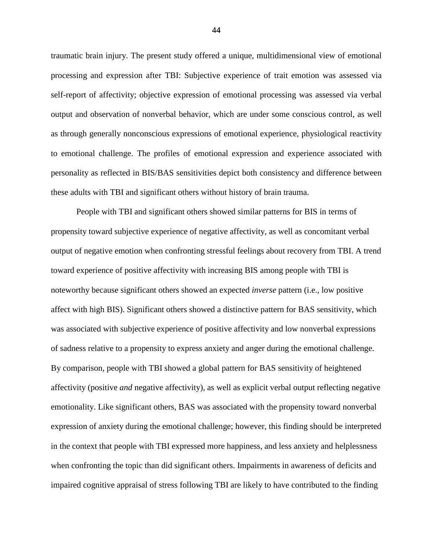traumatic brain injury. The present study offered a unique, multidimensional view of emotional processing and expression after TBI: Subjective experience of trait emotion was assessed via self-report of affectivity; objective expression of emotional processing was assessed via verbal output and observation of nonverbal behavior, which are under some conscious control, as well as through generally nonconscious expressions of emotional experience, physiological reactivity to emotional challenge. The profiles of emotional expression and experience associated with personality as reflected in BIS/BAS sensitivities depict both consistency and difference between these adults with TBI and significant others without history of brain trauma.

People with TBI and significant others showed similar patterns for BIS in terms of propensity toward subjective experience of negative affectivity, as well as concomitant verbal output of negative emotion when confronting stressful feelings about recovery from TBI. A trend toward experience of positive affectivity with increasing BIS among people with TBI is noteworthy because significant others showed an expected *inverse* pattern (i.e., low positive affect with high BIS). Significant others showed a distinctive pattern for BAS sensitivity, which was associated with subjective experience of positive affectivity and low nonverbal expressions of sadness relative to a propensity to express anxiety and anger during the emotional challenge. By comparison, people with TBI showed a global pattern for BAS sensitivity of heightened affectivity (positive *and* negative affectivity), as well as explicit verbal output reflecting negative emotionality. Like significant others, BAS was associated with the propensity toward nonverbal expression of anxiety during the emotional challenge; however, this finding should be interpreted in the context that people with TBI expressed more happiness, and less anxiety and helplessness when confronting the topic than did significant others. Impairments in awareness of deficits and impaired cognitive appraisal of stress following TBI are likely to have contributed to the finding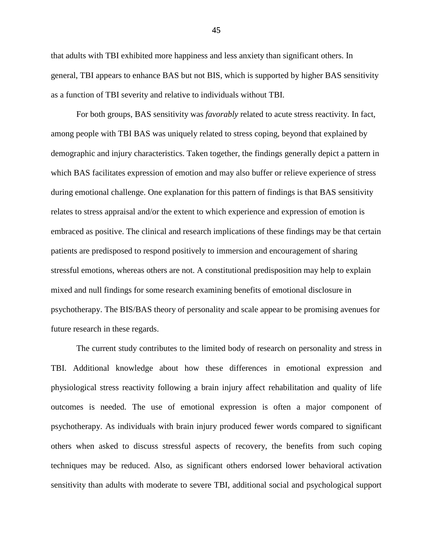that adults with TBI exhibited more happiness and less anxiety than significant others. In general, TBI appears to enhance BAS but not BIS, which is supported by higher BAS sensitivity as a function of TBI severity and relative to individuals without TBI.

For both groups, BAS sensitivity was *favorably* related to acute stress reactivity. In fact, among people with TBI BAS was uniquely related to stress coping, beyond that explained by demographic and injury characteristics. Taken together, the findings generally depict a pattern in which BAS facilitates expression of emotion and may also buffer or relieve experience of stress during emotional challenge. One explanation for this pattern of findings is that BAS sensitivity relates to stress appraisal and/or the extent to which experience and expression of emotion is embraced as positive. The clinical and research implications of these findings may be that certain patients are predisposed to respond positively to immersion and encouragement of sharing stressful emotions, whereas others are not. A constitutional predisposition may help to explain mixed and null findings for some research examining benefits of emotional disclosure in psychotherapy. The BIS/BAS theory of personality and scale appear to be promising avenues for future research in these regards.

The current study contributes to the limited body of research on personality and stress in TBI. Additional knowledge about how these differences in emotional expression and physiological stress reactivity following a brain injury affect rehabilitation and quality of life outcomes is needed. The use of emotional expression is often a major component of psychotherapy. As individuals with brain injury produced fewer words compared to significant others when asked to discuss stressful aspects of recovery, the benefits from such coping techniques may be reduced. Also, as significant others endorsed lower behavioral activation sensitivity than adults with moderate to severe TBI, additional social and psychological support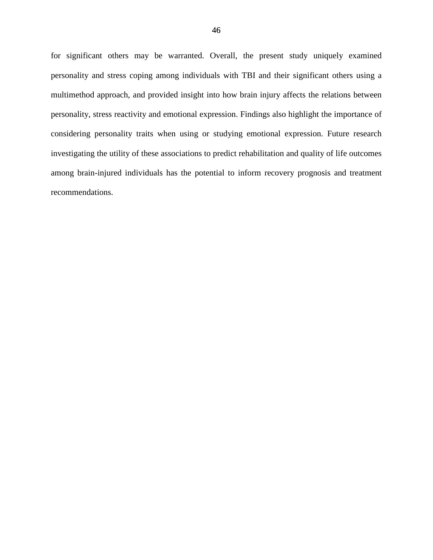for significant others may be warranted. Overall, the present study uniquely examined personality and stress coping among individuals with TBI and their significant others using a multimethod approach, and provided insight into how brain injury affects the relations between personality, stress reactivity and emotional expression. Findings also highlight the importance of considering personality traits when using or studying emotional expression. Future research investigating the utility of these associations to predict rehabilitation and quality of life outcomes among brain-injured individuals has the potential to inform recovery prognosis and treatment recommendations.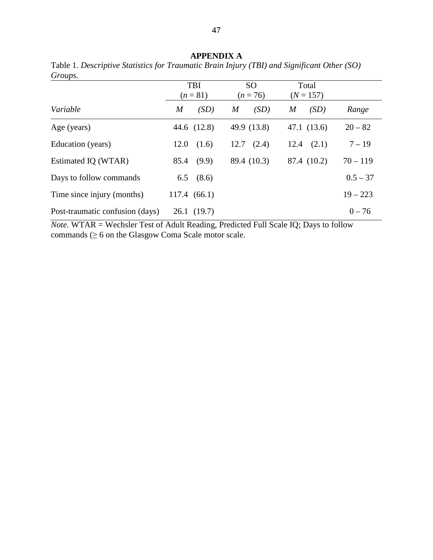| $\mathcal{L}$ , $\mathcal{L}$ $\mathcal{L}$ $\mathcal{L}$ |                          |                          |                          |            |
|-----------------------------------------------------------|--------------------------|--------------------------|--------------------------|------------|
|                                                           | <b>TBI</b><br>$(n = 81)$ | <b>SO</b><br>$(n=76)$    | Total<br>$(N = 157)$     |            |
| Variable                                                  | (SD)<br>$\boldsymbol{M}$ | (SD)<br>$\boldsymbol{M}$ | (SD)<br>$\boldsymbol{M}$ | Range      |
| Age (years)                                               | 44.6 (12.8)              | 49.9 (13.8)              | 47.1 (13.6)              | $20 - 82$  |
| Education (years)                                         | (1.6)<br>12.0            | $12.7$ $(2.4)$           | 12.4<br>(2.1)            | $7 - 19$   |
| Estimated IQ (WTAR)                                       | 85.4<br>(9.9)            | 89.4 (10.3)              | 87.4 (10.2)              | $70 - 119$ |
| Days to follow commands                                   | (8.6)<br>6.5             |                          |                          | $0.5 - 37$ |
| Time since injury (months)                                | 117.4 (66.1)             |                          |                          | $19 - 223$ |
| Post-traumatic confusion (days)                           | 26.1(19.7)               |                          |                          | $0 - 76$   |

Table 1. *Descriptive Statistics for Traumatic Brain Injury (TBI) and Significant Other (SO) Groups.*

*Note.* WTAR = Wechsler Test of Adult Reading, Predicted Full Scale IQ; Days to follow commands  $(≥ 6$  on the Glasgow Coma Scale motor scale.

**APPENDIX A**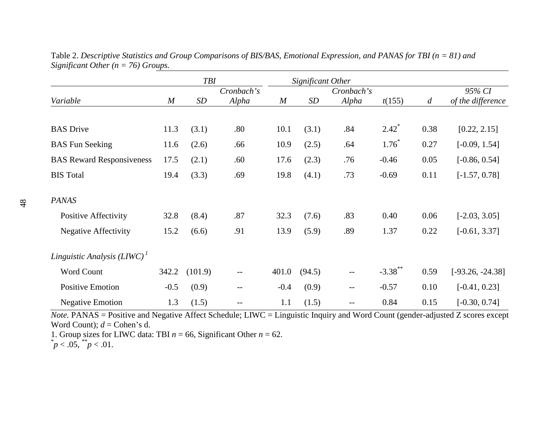|                                  | <b>TBI</b>       |         |            |                  | Significant Other |            |            |                |                    |
|----------------------------------|------------------|---------|------------|------------------|-------------------|------------|------------|----------------|--------------------|
|                                  |                  |         | Cronbach's |                  |                   | Cronbach's |            |                | 95% CI             |
| Variable                         | $\boldsymbol{M}$ | SD      | Alpha      | $\boldsymbol{M}$ | <b>SD</b>         | Alpha      | t(155)     | $\overline{d}$ | of the difference  |
|                                  |                  |         |            |                  |                   |            |            |                |                    |
| <b>BAS</b> Drive                 | 11.3             | (3.1)   | .80        | 10.1             | (3.1)             | .84        | $2.42*$    | 0.38           | [0.22, 2.15]       |
| <b>BAS</b> Fun Seeking           | 11.6             | (2.6)   | .66        | 10.9             | (2.5)             | .64        | $1.76*$    | 0.27           | $[-0.09, 1.54]$    |
| <b>BAS Reward Responsiveness</b> | 17.5             | (2.1)   | .60        | 17.6             | (2.3)             | .76        | $-0.46$    | 0.05           | $[-0.86, 0.54]$    |
| <b>BIS</b> Total                 | 19.4             | (3.3)   | .69        | 19.8             | (4.1)             | .73        | $-0.69$    | 0.11           | $[-1.57, 0.78]$    |
| <b>PANAS</b>                     |                  |         |            |                  |                   |            |            |                |                    |
| Positive Affectivity             | 32.8             | (8.4)   | .87        | 32.3             | (7.6)             | .83        | 0.40       | 0.06           | $[-2.03, 3.05]$    |
| <b>Negative Affectivity</b>      | 15.2             | (6.6)   | .91        | 13.9             | (5.9)             | .89        | 1.37       | 0.22           | $[-0.61, 3.37]$    |
| Linguistic Analysis $(LIWC)^T$   |                  |         |            |                  |                   |            |            |                |                    |
| Word Count                       | 342.2            | (101.9) | --         | 401.0            | (94.5)            | --         | $-3.38$ ** | 0.59           | $[-93.26, -24.38]$ |
| <b>Positive Emotion</b>          | $-0.5$           | (0.9)   | --         | $-0.4$           | (0.9)             | --         | $-0.57$    | 0.10           | $[-0.41, 0.23]$    |
| <b>Negative Emotion</b>          | 1.3              | (1.5)   | --         | 1.1              | (1.5)             | $-$        | 0.84       | 0.15           | $[-0.30, 0.74]$    |

Table 2. *Descriptive Statistics and Group Comparisons of BIS/BAS, Emotional Expression, and PANAS for TBI (n = 81) and Significant Other (n = 76) Groups.* 

*Note.* PANAS = Positive and Negative Affect Schedule; LIWC = Linguistic Inquiry and Word Count (gender-adjusted Z scores except Word Count); *d* = Cohen's d.

1. Group sizes for LIWC data: TBI  $n = 66$ , Significant Other  $n = 62$ .

 $p < .05$ ,  $\frac{p}{p} < .01$ .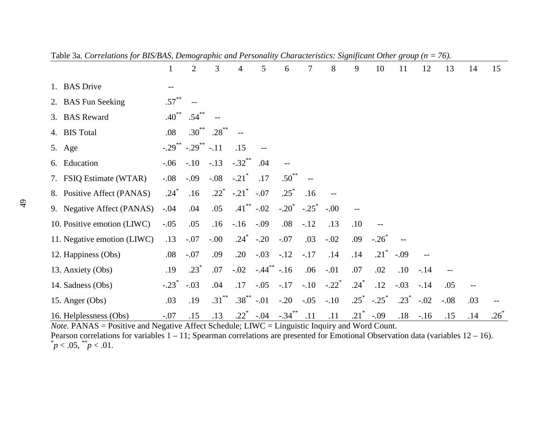|                             | $\mathbf{1}$        | $\overline{2}$                                   | 3        | 4                       | 5                       | 6                 | 7      | 8                   | 9                  | 10                 | 11     | 12     | 13     | 14  | 15     |
|-----------------------------|---------------------|--------------------------------------------------|----------|-------------------------|-------------------------|-------------------|--------|---------------------|--------------------|--------------------|--------|--------|--------|-----|--------|
| 1. BAS Drive                |                     |                                                  |          |                         |                         |                   |        |                     |                    |                    |        |        |        |     |        |
| 2. BAS Fun Seeking          | $.57***$            |                                                  |          |                         |                         |                   |        |                     |                    |                    |        |        |        |     |        |
| 3. BAS Reward               | $.40^{**}$          | $.54***$                                         |          |                         |                         |                   |        |                     |                    |                    |        |        |        |     |        |
| 4. BIS Total                | .08                 | $.30***$                                         | $.28***$ |                         |                         |                   |        |                     |                    |                    |        |        |        |     |        |
| 5. Age                      |                     | $-.29$ <sup>**</sup> $-.29$ <sup>**</sup> $-.11$ |          | .15                     |                         |                   |        |                     |                    |                    |        |        |        |     |        |
| 6. Education                | $-.06$              | $-.10$                                           | $-.13$   | $-.32$ <sup>**</sup>    | .04                     |                   |        |                     |                    |                    |        |        |        |     |        |
| 7. FSIQ Estimate (WTAR)     | $-.08$              | $-.09$                                           | $-.08$   | $-.21$ <sup>*</sup>     | .17                     | $.50^{**}$        |        |                     |                    |                    |        |        |        |     |        |
| 8. Positive Affect (PANAS)  | $.24*$              | .16                                              |          | $.22^*$ $-.21^*$ $-.07$ |                         | $.25*$            | .16    |                     |                    |                    |        |        |        |     |        |
| 9. Negative Affect (PANAS)  | $-.04$              | .04                                              | .05      |                         | $.41^*$ $-.02$          | $-.20^*$ $-.25^*$ |        | $-.00$              |                    |                    |        |        |        |     |        |
| 10. Positive emotion (LIWC) | $-.05$              | .05                                              | .16      | $-16$                   | $-.09$                  | .08               | $-.12$ | .13                 | .10                |                    |        |        |        |     |        |
| 11. Negative emotion (LIWC) | .13                 | $-.07$                                           | $-0.00$  | $.24*$                  | $-.20$                  | $-.07$            | .03    | $-.02$              | .09                | $-.26$             |        |        |        |     |        |
| 12. Happiness (Obs)         | .08                 | $-.07$                                           | .09      | .20                     | $-.03-.12$              |                   | $-.17$ | .14                 | .14                | $.21$ <sup>*</sup> | $-.09$ |        |        |     |        |
| 13. Anxiety (Obs)           | .19                 | $.23*$                                           | .07      |                         | $-.02 - .44^{**} - .16$ |                   | .06    | $-.01$              | .07                | .02                | .10    | $-.14$ |        |     |        |
| 14. Sadness (Obs)           | $-.23$ <sup>*</sup> | $-.03$                                           | .04      | .17                     | $-.05$                  | $-.17$            | $-.10$ | $-.22$ <sup>*</sup> | $.24*$             | .12                | $-.03$ | $-.14$ | .05    |     |        |
| 15. Anger (Obs)             | .03                 | .19                                              | $.31***$ |                         | $.38^{**}$ -.01         | $-.20$            | $-.05$ | $-.10$              | $.25*$             | $-.25$             | $.23*$ | $-.02$ | $-.08$ | .03 |        |
| 16. Helplessness (Obs)      | $-.07$              | .15                                              | .13      | $.22*$                  | $-.04$                  | $-.34***$         | .11    | .11                 | $.21$ <sup>*</sup> | $-.09$             | .18    | $-16$  | .15    | .14 | $.26*$ |

| Table 3a. Correlations for BIS/BAS, Demographic and Personality Characteristics: Significant Other group ( $n = 76$ ). |  |  |  |  |  |
|------------------------------------------------------------------------------------------------------------------------|--|--|--|--|--|
|------------------------------------------------------------------------------------------------------------------------|--|--|--|--|--|

*Note*. PANAS = Positive and Negative Affect Schedule; LIWC = Linguistic Inquiry and Word Count.<br>Pearson correlations for variables 1 – 11; Spearman correlations are presented for Emotional Observation data (variables 12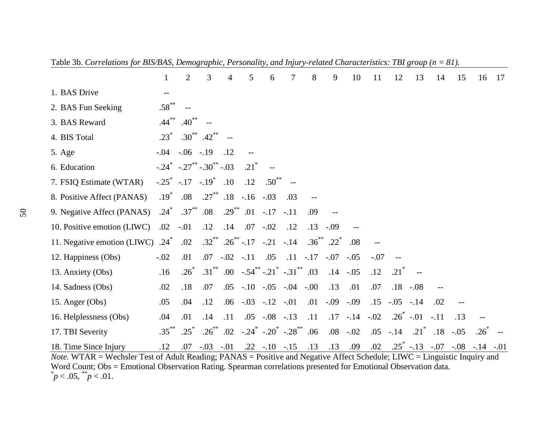|                                                  | $\mathbf{1}$        | $\overline{2}$                 | 3                                       | 4   | 5                     | 6                                                         | 7      | 8                 | 9                           | 10          | 11                | 12                   | 13                        | 14          | 15  | 16                                         | -17 |
|--------------------------------------------------|---------------------|--------------------------------|-----------------------------------------|-----|-----------------------|-----------------------------------------------------------|--------|-------------------|-----------------------------|-------------|-------------------|----------------------|---------------------------|-------------|-----|--------------------------------------------|-----|
| 1. BAS Drive                                     | $- -$               |                                |                                         |     |                       |                                                           |        |                   |                             |             |                   |                      |                           |             |     |                                            |     |
| 2. BAS Fun Seeking                               | $.58***$            |                                |                                         |     |                       |                                                           |        |                   |                             |             |                   |                      |                           |             |     |                                            |     |
| 3. BAS Reward                                    | $.44***$            | $.40^{**}$                     |                                         |     |                       |                                                           |        |                   |                             |             |                   |                      |                           |             |     |                                            |     |
| 4. BIS Total                                     | $.23*$              |                                | $.30^{**}$ $.42^{**}$                   |     |                       |                                                           |        |                   |                             |             |                   |                      |                           |             |     |                                            |     |
| 5. Age                                           |                     | $-.04-.06-.19$                 |                                         | .12 |                       |                                                           |        |                   |                             |             |                   |                      |                           |             |     |                                            |     |
| 6. Education                                     |                     | $-.24$ $-.27$ $-.30$ $-.03$    |                                         |     | $.21^*$               |                                                           |        |                   |                             |             |                   |                      |                           |             |     |                                            |     |
| 7. FSIQ Estimate (WTAR)                          |                     | $-.25^*$ $-.17$ $-.19^*$ $.10$ |                                         |     | .12                   | $.50^{**}$                                                |        |                   |                             |             |                   |                      |                           |             |     |                                            |     |
| 8. Positive Affect (PANAS)                       | $.19^{\degree}$     | .08                            | $.27^{**}$ .18 -.16 -.03                |     |                       |                                                           | .03    |                   |                             |             |                   |                      |                           |             |     |                                            |     |
| 9. Negative Affect (PANAS)                       | $.24$ <sup>*</sup>  | $.37$ $*$ $.08$                |                                         |     | $.29^{**}$ .01 $-.17$ |                                                           | $-.11$ | .09               |                             |             |                   |                      |                           |             |     |                                            |     |
| 10. Positive emotion (LIWC)                      |                     | $.02 - .01$                    | .12                                     | .14 | $.07 - .02$           |                                                           | .12    |                   | $.13 - .09$                 |             |                   |                      |                           |             |     |                                            |     |
| 11. Negative emotion (LIWC) .24 <sup>*</sup> .02 |                     |                                | $.32^{**}$ $.26^{**}$ - 17 - 21 - 14    |     |                       |                                                           |        |                   | $.36^{**}$ .22 <sup>*</sup> | .08         |                   |                      |                           |             |     |                                            |     |
| 12. Happiness (Obs)                              | $-.02$              | .01                            |                                         |     |                       | $.07$ $-.02$ $-.11$ $.05$                                 |        | $.11 - .17 - .07$ |                             | $-.05$      | $-.07$            |                      |                           |             |     |                                            |     |
| 13. Anxiety (Obs)                                | .16                 | $.26^{\degree}$                |                                         |     |                       | $.31^{**}$ $.00$ $-.54^{**}$ $-.21^{*}$ $-.31^{**}$ $.03$ |        |                   |                             | $.14 - .05$ | .12               | $.21^*$              | $ -$                      |             |     |                                            |     |
| 14. Sadness (Obs)                                | .02                 | .18                            | .07                                     |     |                       | $.05$ $-.10$ $-.05$ $-.04$ $-.00$                         |        |                   | .13                         | .01         | .07               | .18                  | $-.08$                    |             |     |                                            |     |
| 15. Anger (Obs)                                  | .05                 | .04                            | .12                                     |     |                       | $.06$ $-.03$ $-.12$ $-.01$                                |        |                   | $.01 - .09 - .09$           |             | .15               | $-.05-.14$           |                           | .02         |     |                                            |     |
| 16. Helplessness (Obs)                           | .04                 | .01                            | .14                                     | .11 |                       | $.05 - .08 - .13$                                         |        | .11               |                             |             | $.17 - .14 - .02$ |                      | $.26^{\degree}$ -.01 -.11 |             | .13 |                                            |     |
| 17. TBI Severity                                 | $.35$ <sup>**</sup> | .25                            |                                         |     |                       | $.26^{**}$ $.02$ $-.24^{*}$ $-.20^{*}$ $-.28^{**}$ $.06$  |        |                   |                             | $.08-.02$   |                   | $.05$ $-.14$ $.21^*$ |                           | $.18 - .05$ |     | $.26^\circ$                                |     |
| 18. Time Since Injury                            | .12                 | .07                            | $-.03$ $-.01$ $.22$ $-.10$ $-.15$ $.13$ |     |                       |                                                           |        |                   | $.13 \quad .09$             |             | .02               |                      |                           |             |     | $.25^*$ $-.13$ $-.07$ $-.08$ $-.14$ $-.01$ |     |

Table 3b. *Correlations for BIS/BAS, Demographic, Personality, and Injury-related Characteristics: TBI group (n = 81).* 

*Note.* WTAR = Wechsler Test of Adult Reading; PANAS = Positive and Negative Affect Schedule; LIWC = Linguistic Inquiry and Word Count; Obs = Emotional Observation Rating. Spearman correlations presented for Emotional Observation data. \* *p* < .05, \*\**p* < .01.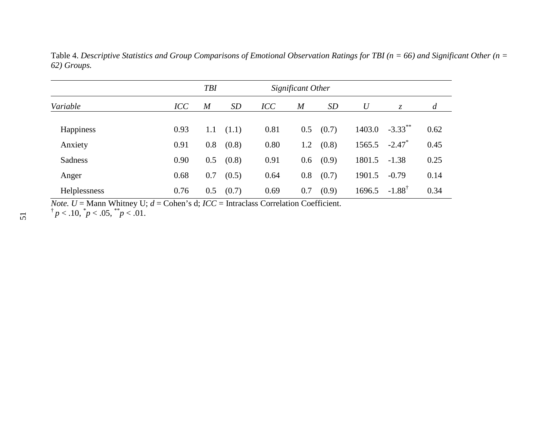Table 4. *Descriptive Statistics and Group Comparisons of Emotional Observation Ratings for TBI (n = 66) and Significant Other (n = 62) Groups.* 

|              |      | <b>TBI</b>       |           |            | Significant Other |           |        |                       |      |
|--------------|------|------------------|-----------|------------|-------------------|-----------|--------|-----------------------|------|
| Variable     | ICC  | $\boldsymbol{M}$ | <b>SD</b> | <b>ICC</b> | $\boldsymbol{M}$  | <b>SD</b> | U      | Z.                    | a    |
| Happiness    | 0.93 | 1.1              | (1.1)     | 0.81       | 0.5               | (0.7)     | 1403.0 | $-3.33$ <sup>**</sup> | 0.62 |
| Anxiety      | 0.91 | 0.8              | (0.8)     | 0.80       | 1.2               | (0.8)     | 1565.5 | $-2.47$ <sup>*</sup>  | 0.45 |
| Sadness      | 0.90 | 0.5              | (0.8)     | 0.91       | 0.6               | (0.9)     | 1801.5 | $-1.38$               | 0.25 |
| Anger        | 0.68 | 0.7              | (0.5)     | 0.64       | 0.8               | (0.7)     | 1901.5 | $-0.79$               | 0.14 |
| Helplessness | 0.76 | 0.5              | (0.7)     | 0.69       | 0.7               | (0.9)     | 1696.5 | $-1.88^{\dagger}$     | 0.34 |

*Note. U* = Mann Whitney U; *d* = Cohen's d; *ICC* = Intraclass Correlation Coefficient.

 $\frac{p}{p}$  < .10,  $\frac{p}{p}$  < .05,  $\frac{p}{p}$  < .01.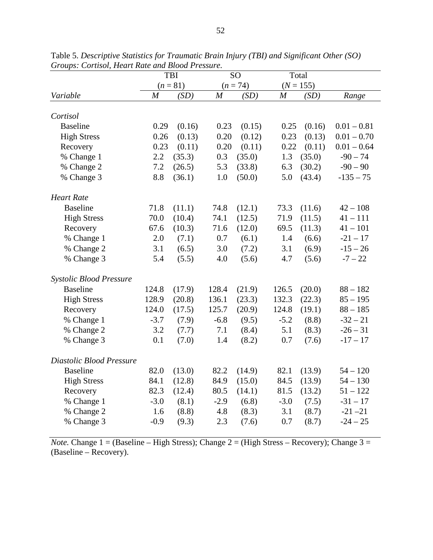|                                |                  | TBI        |                  | <b>SO</b>  |                  | Total       |               |
|--------------------------------|------------------|------------|------------------|------------|------------------|-------------|---------------|
|                                |                  | $(n = 81)$ |                  | $(n = 74)$ |                  | $(N = 155)$ |               |
| Variable                       | $\boldsymbol{M}$ | (SD)       | $\boldsymbol{M}$ | (SD)       | $\boldsymbol{M}$ | (SD)        | Range         |
|                                |                  |            |                  |            |                  |             |               |
| Cortisol                       |                  |            |                  |            |                  |             |               |
| <b>Baseline</b>                | 0.29             | (0.16)     | 0.23             | (0.15)     | 0.25             | (0.16)      | $0.01 - 0.81$ |
| <b>High Stress</b>             | 0.26             | (0.13)     | 0.20             | (0.12)     | 0.23             | (0.13)      | $0.01 - 0.70$ |
| Recovery                       | 0.23             | (0.11)     | 0.20             | (0.11)     | 0.22             | (0.11)      | $0.01 - 0.64$ |
| % Change 1                     | 2.2              | (35.3)     | 0.3              | (35.0)     | 1.3              | (35.0)      | $-90 - 74$    |
| % Change 2                     | 7.2              | (26.5)     | 5.3              | (33.8)     | 6.3              | (30.2)      | $-90 - 90$    |
| % Change 3                     | 8.8              | (36.1)     | 1.0              | (50.0)     | 5.0              | (43.4)      | $-135 - 75$   |
| <b>Heart Rate</b>              |                  |            |                  |            |                  |             |               |
| <b>Baseline</b>                | 71.8             | (11.1)     | 74.8             | (12.1)     | 73.3             | (11.6)      | $42 - 108$    |
| <b>High Stress</b>             | 70.0             | (10.4)     | 74.1             | (12.5)     | 71.9             | (11.5)      | $41 - 111$    |
| Recovery                       | 67.6             | (10.3)     | 71.6             | (12.0)     | 69.5             | (11.3)      | $41 - 101$    |
| % Change 1                     | 2.0              | (7.1)      | 0.7              | (6.1)      | 1.4              | (6.6)       | $-21 - 17$    |
| % Change 2                     | 3.1              | (6.5)      | 3.0              | (7.2)      | 3.1              | (6.9)       | $-15 - 26$    |
| % Change 3                     | 5.4              | (5.5)      | 4.0              | (5.6)      | 4.7              | (5.6)       | $-7 - 22$     |
| <b>Systolic Blood Pressure</b> |                  |            |                  |            |                  |             |               |
| <b>Baseline</b>                | 124.8            | (17.9)     | 128.4            | (21.9)     | 126.5            | (20.0)      | $88 - 182$    |
| <b>High Stress</b>             | 128.9            | (20.8)     | 136.1            | (23.3)     | 132.3            | (22.3)      | $85 - 195$    |
| Recovery                       | 124.0            | (17.5)     | 125.7            | (20.9)     | 124.8            | (19.1)      | $88 - 185$    |
| % Change 1                     | $-3.7$           | (7.9)      | $-6.8$           | (9.5)      | $-5.2$           | (8.8)       | $-32 - 21$    |
| % Change 2                     | 3.2              | (7.7)      | 7.1              | (8.4)      | 5.1              | (8.3)       | $-26 - 31$    |
| % Change 3                     | 0.1              | (7.0)      | 1.4              | (8.2)      | 0.7              | (7.6)       | $-17 - 17$    |
| Diastolic Blood Pressure       |                  |            |                  |            |                  |             |               |
| <b>Baseline</b>                | 82.0             | (13.0)     | 82.2             | (14.9)     | 82.1             | (13.9)      | $54 - 120$    |
| <b>High Stress</b>             | 84.1             | (12.8)     | 84.9             | (15.0)     | 84.5             | (13.9)      | $54 - 130$    |
| Recovery                       | 82.3             | (12.4)     | 80.5             | (14.1)     | 81.5             | (13.2)      | $51 - 122$    |
| % Change 1                     | $-3.0$           | (8.1)      | $-2.9$           | (6.8)      | $-3.0$           | (7.5)       | $-31 - 17$    |
| % Change 2                     | 1.6              | (8.8)      | 4.8              | (8.3)      | 3.1              | (8.7)       | $-21 - 21$    |
| % Change 3                     | $-0.9$           | (9.3)      | 2.3              | (7.6)      | 0.7              | (8.7)       | $-24 - 25$    |

Table 5. *Descriptive Statistics for Traumatic Brain Injury (TBI) and Significant Other (SO) Groups: Cortisol, Heart Rate and Blood Pressure.* 

*Note.* Change  $1 = ($ Baseline – High Stress); Change  $2 = (High Stress - Recovery)$ ; Change  $3 =$ (Baseline – Recovery).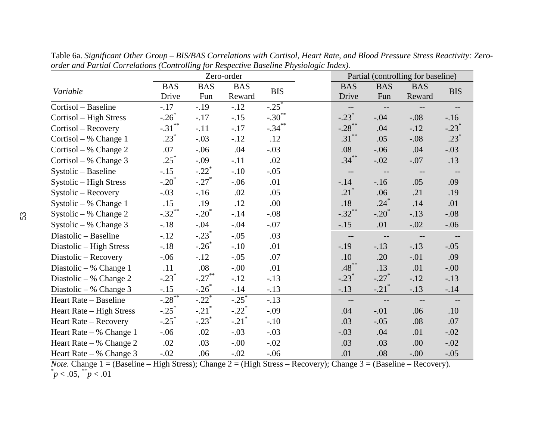|                           | Zero-order           |                     |                     |                     |                          |                          | Partial (controlling for baseline) |                     |
|---------------------------|----------------------|---------------------|---------------------|---------------------|--------------------------|--------------------------|------------------------------------|---------------------|
| Variable                  | <b>BAS</b>           | <b>BAS</b>          | <b>BAS</b>          | <b>BIS</b>          | <b>BAS</b>               | <b>BAS</b>               | <b>BAS</b>                         | <b>BIS</b>          |
|                           | Drive                | Fun                 | Reward              |                     | Drive                    | Fun                      | Reward                             |                     |
| Cortisol - Baseline       | $-.17$               | $-.19$              | $-.12$              | $-.25$ <sup>*</sup> | $-$                      | $\overline{\phantom{a}}$ |                                    |                     |
| Cortisol – High Stress    | $-.26^*$             | $-.17$              | $-.15$              | $-.30***$           | $-.23$ *                 | $-.04$                   | $-.08$                             | $-16$               |
| Cortisol – Recovery       | $-.31***$            | $-.11$              | $-.17$              | $-.34***$           | $-.28$ <sup>**</sup>     | .04                      | $-12$                              | $-.23$ <sup>*</sup> |
| Cortisol – % Change 1     | $.23*$               | $-.03$              | $-.12$              | .12                 | $.31***$                 | .05                      | $-.08$                             | $.23*$              |
| Cortisol – % Change $2$   | .07                  | $-.06$              | .04                 | $-.03$              | .08                      | $-.06$                   | .04                                | $-.03$              |
| Cortisol – % Change $3$   | $.25^*$              | $-.09$              | $-.11$              | .02                 | $.34***$                 | $-.02$                   | $-.07$                             | .13                 |
| Systolic - Baseline       | $-.15$               | $-.22$ <sup>*</sup> | $-.10$              | $-.05$              |                          | $\overline{\phantom{a}}$ |                                    |                     |
| Systolic - High Stress    | $-.20^*$             | $-.27*$             | $-.06$              | .01                 | $-14$                    | $-16$                    | .05                                | .09                 |
| Systolic – Recovery       | $-.03$               | $-16$               | .02                 | .05                 | $.21$ <sup>*</sup>       | .06                      | .21                                | .19                 |
| Systolic $-$ % Change 1   | .15                  | .19                 | .12                 | .00                 | .18                      | $.24*$                   | .14                                | .01                 |
| Systolic $-$ % Change 2   | $-.32$ <sup>**</sup> | $-.20^*$            | $-.14$              | $-.08$              | $-.32**$                 | $-.20^{\degree}$         | $-.13$                             | $-.08$              |
| Systolic $-$ % Change 3   | $-.18$               | $-.04$              | $-.04$              | $-.07$              | $-.15$                   | .01                      | $-.02$                             | $-.06$              |
| Diastolic - Baseline      | $-12$                | $-.23*$             | $-.05$              | .03                 |                          | $\overline{\phantom{m}}$ |                                    |                     |
| Diastolic - High Stress   | $-.18$               | $-.26^*$            | $-.10$              | .01                 | $-19$                    | $-13$                    | $-13$                              | $-.05$              |
| Diastolic – Recovery      | $-.06$               | $-.12$              | $-.05$              | .07                 | .10                      | .20                      | $-.01$                             | .09                 |
| Diastolic – % Change $1$  | .11                  | .08                 | $-.00$              | .01                 | $.48***$                 | .13                      | .01                                | $-.00$              |
| Diastolic – % Change 2    | $-.23$ <sup>*</sup>  | $-.27***$           | $-.12$              | $-.13$              | $-.23$ <sup>*</sup>      | $-.27$                   | $-.12$                             | $-.13$              |
| Diastolic – % Change $3$  | $-.15$               | $-.26$              | $-.14$              | $-.13$              | $-.13$                   | $-.21$ <sup>*</sup>      | $-.13$                             | $-14$               |
| Heart Rate – Baseline     | $-.28$ <sup>**</sup> | $-.22$ <sup>*</sup> | $-.25$ <sup>*</sup> | $-.13$              | $\overline{\phantom{a}}$ | $\overline{\phantom{a}}$ |                                    |                     |
| Heart Rate - High Stress  | $-.25$ <sup>*</sup>  | $-.21$ <sup>*</sup> | $-.22$ <sup>*</sup> | $-.09$              | .04                      | $-.01$                   | .06                                | .10                 |
| Heart Rate – Recovery     | $-.25$               | $-.23$ <sup>*</sup> | $-.21$ <sup>*</sup> | $-.10$              | .03                      | $-.05$                   | .08                                | .07                 |
| Heart Rate – % Change 1   | $-.06$               | .02                 | $-.03$              | $-.03$              | $-.03$                   | .04                      | .01                                | $-.02$              |
| Heart Rate $-$ % Change 2 | .02                  | .03                 | $-0.00$             | $-.02$              | .03                      | .03                      | .00                                | $-.02$              |
| Heart Rate $-$ % Change 3 | $-.02$               | .06                 | $-.02$              | $-.06$              | .01                      | .08                      | $-.00$                             | $-.05$              |

Table 6a. *Significant Other Group – BIS/BAS Correlations with Cortisol, Heart Rate, and Blood Pressure Stress Reactivity: Zeroorder and Partial Correlations (Controlling for Respective Baseline Physiologic Index).*

*Note.* Change 1 = (Baseline – High Stress); Change 2 = (High Stress – Recovery); Change 3 = (Baseline – Recovery).  $p < .05$ ,  $p < .01$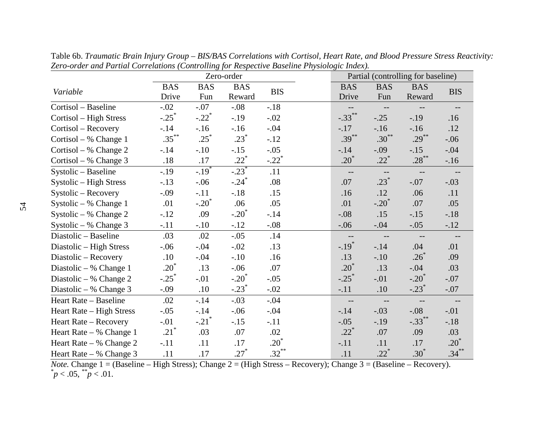|                           |            |                     | . <u>.</u><br>Zero-order |                     |                          | Partial (controlling for baseline)<br><b>BAS</b><br><b>BAS</b><br><b>BIS</b><br>Fun<br>Reward<br>$\overline{\phantom{a}}$<br>$-.25$<br>$-19$<br>.16<br>$-16$<br>.12<br>$-16$ |                          |          |  |  |  |
|---------------------------|------------|---------------------|--------------------------|---------------------|--------------------------|------------------------------------------------------------------------------------------------------------------------------------------------------------------------------|--------------------------|----------|--|--|--|
| Variable                  | <b>BAS</b> | <b>BAS</b>          | <b>BAS</b>               | <b>BIS</b>          | <b>BAS</b>               |                                                                                                                                                                              |                          |          |  |  |  |
|                           | Drive      | Fun                 | Reward                   |                     | Drive                    |                                                                                                                                                                              |                          |          |  |  |  |
| Cortisol – Baseline       | $-.02$     | $-.07$              | $-.08$                   | $-.18$              | $--$                     |                                                                                                                                                                              |                          |          |  |  |  |
| Cortisol – High Stress    | $-.25^*$   | $-.22$ <sup>*</sup> | $-.19$                   | $-.02$              | $-.33**$                 |                                                                                                                                                                              |                          |          |  |  |  |
| Cortisol – Recovery       | $-14$      | $-.16$              | $-16$                    | $-.04$              | $-.17$                   |                                                                                                                                                                              |                          |          |  |  |  |
| Cortisol – % Change $1$   | $.35***$   | $.25^*$             | $.23*$                   | $-.12$              | $.39***$                 | $.30^{**}$                                                                                                                                                                   | $.29***$                 | $-.06$   |  |  |  |
| Cortisol – % Change 2     | $-14$      | $-.10$              | $-.15$                   | $-.05$              | $-14$                    | $-0.09$                                                                                                                                                                      | $-.15$                   | $-.04$   |  |  |  |
| Cortisol – % Change $3$   | .18        | .17                 | $.22*$                   | $-.22$ <sup>*</sup> | $.20^{\degree}$          | $.22^{*}$                                                                                                                                                                    | $.28***$                 | $-16$    |  |  |  |
| Systolic - Baseline       | $-.19$     | $-.19*$             | $-.23$ <sup>*</sup>      | .11                 |                          | $\overline{\phantom{m}}$                                                                                                                                                     |                          | $-$      |  |  |  |
| Systolic - High Stress    | $-.13$     | $-.06$              | $-.24$ <sup>*</sup>      | .08                 | .07                      | $.23*$                                                                                                                                                                       | $-.07$                   | $-.03$   |  |  |  |
| Systolic - Recovery       | $-.09$     | $-.11$              | $-.18$                   | .15                 | .16                      | .12                                                                                                                                                                          | .06                      | .11      |  |  |  |
| Systolic $-$ % Change 1   | .01        | $-.20^{\degree}$    | .06                      | .05                 | .01                      | $-.20^{\degree}$                                                                                                                                                             | .07                      | .05      |  |  |  |
| Systolic $-$ % Change 2   | $-12$      | .09                 | $-.20^*$                 | $-.14$              | $-.08$                   | .15                                                                                                                                                                          | $-.15$                   | $-.18$   |  |  |  |
| Systolic $-$ % Change 3   | $-.11$     | $-.10$              | $-.12$                   | $-.08$              | $-.06$                   | $-.04$                                                                                                                                                                       | $-.05$                   | $-.12$   |  |  |  |
| Diastolic - Baseline      | .03        | .02                 | $-.05$                   | .14                 |                          |                                                                                                                                                                              |                          |          |  |  |  |
| Diastolic - High Stress   | $-.06$     | $-.04$              | $-.02$                   | .13                 | $-.19*$                  | $-14$                                                                                                                                                                        | .04                      | .01      |  |  |  |
| Diastolic – Recovery      | .10        | $-.04$              | $-.10$                   | .16                 | .13                      | $-.10$                                                                                                                                                                       | $.26*$                   | .09      |  |  |  |
| Diastolic – % Change $1$  | $.20^*$    | .13                 | $-.06$                   | $.07$               | $.20^*$                  | .13                                                                                                                                                                          | $-.04$                   | .03      |  |  |  |
| Diastolic – % Change 2    | $-.25$     | $-.01$              | $-.20^*$                 | $-.05$              | $-.25$                   | $-.01$                                                                                                                                                                       | $-.20^*$                 | $-.07$   |  |  |  |
| Diastolic – % Change $3$  | $-.09$     | .10                 | $-.23$ <sup>*</sup>      | $-.02$              | $-.11$                   | .10                                                                                                                                                                          | $-.23$ <sup>*</sup>      | $-.07$   |  |  |  |
| Heart Rate - Baseline     | .02        | $-.14$              | $-.03$                   | $-.04$              | $\overline{\phantom{a}}$ | $\overline{\phantom{a}}$                                                                                                                                                     | $\overline{\phantom{a}}$ |          |  |  |  |
| Heart Rate – High Stress  | $-.05$     | $-14$               | $-.06$                   | $-.04$              | $-14$                    | $-.03$                                                                                                                                                                       | $-.08$                   | $-.01$   |  |  |  |
| Heart Rate – Recovery     | $-.01$     | $-.21$ <sup>*</sup> | $-.15$                   | $-.11$              | $-.05$                   | $-19$                                                                                                                                                                        | $-.33$ <sup>**</sup>     | $-.18$   |  |  |  |
| Heart Rate $-$ % Change 1 | $.21*$     | .03                 | .07                      | .02                 | $.22*$                   | .07                                                                                                                                                                          | .09                      | .03      |  |  |  |
| Heart Rate $-$ % Change 2 | $-.11$     | .11                 | .17                      | $.20*$              | $-.11$                   | .11                                                                                                                                                                          | .17                      | $.20^*$  |  |  |  |
| Heart Rate $-$ % Change 3 | .11        | .17                 | $.27*$                   | $.32***$            | .11                      | $.22^{*}$                                                                                                                                                                    | $.30^{*}$                | $.34***$ |  |  |  |

Table 6b. *Traumatic Brain Injury Group – BIS/BAS Correlations with Cortisol, Heart Rate, and Blood Pressure Stress Reactivity: Zero-order and Partial Correlations (Controlling for Respective Baseline Physiologic Index).*

*Note.* Change 1 = (Baseline – High Stress); Change 2 = (High Stress – Recovery); Change 3 = (Baseline – Recovery).  $p < .05$ ,  $p < .01$ .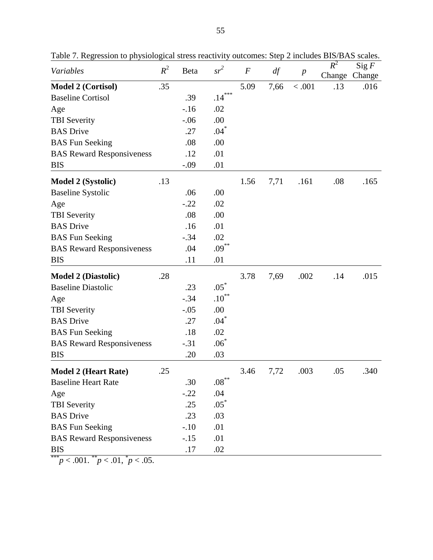| Variables                        | $R^2$ | Beta   | $sr^2$     | $\boldsymbol{F}$ | df   |                  | $R^2$  | Sig F  |
|----------------------------------|-------|--------|------------|------------------|------|------------------|--------|--------|
|                                  |       |        |            |                  |      | $\boldsymbol{p}$ | Change | Change |
| <b>Model 2 (Cortisol)</b>        | .35   |        | $***$      | 5.09             | 7,66 | < .001           | .13    | .016   |
| <b>Baseline Cortisol</b>         |       | .39    | .14        |                  |      |                  |        |        |
| Age                              |       | $-16$  | .02        |                  |      |                  |        |        |
| <b>TBI</b> Severity              |       | $-.06$ | .00        |                  |      |                  |        |        |
| <b>BAS</b> Drive                 |       | .27    | $.04*$     |                  |      |                  |        |        |
| <b>BAS</b> Fun Seeking           |       | .08    | .00        |                  |      |                  |        |        |
| <b>BAS Reward Responsiveness</b> |       | .12    | .01        |                  |      |                  |        |        |
| <b>BIS</b>                       |       | $-.09$ | .01        |                  |      |                  |        |        |
| <b>Model 2 (Systolic)</b>        | .13   |        |            | 1.56             | 7,71 | .161             | .08    | .165   |
| <b>Baseline Systolic</b>         |       | .06    | .00        |                  |      |                  |        |        |
| Age                              |       | $-.22$ | .02        |                  |      |                  |        |        |
| <b>TBI</b> Severity              |       | .08    | .00        |                  |      |                  |        |        |
| <b>BAS</b> Drive                 |       | .16    | .01        |                  |      |                  |        |        |
| <b>BAS</b> Fun Seeking           |       | $-.34$ | .02        |                  |      |                  |        |        |
| <b>BAS Reward Responsiveness</b> |       | .04    | $.09***$   |                  |      |                  |        |        |
| <b>BIS</b>                       |       | .11    | .01        |                  |      |                  |        |        |
| <b>Model 2 (Diastolic)</b>       | .28   |        |            | 3.78             | 7,69 | .002             | .14    | .015   |
| <b>Baseline Diastolic</b>        |       | .23    | $.05^{*}$  |                  |      |                  |        |        |
| Age                              |       | $-.34$ | $.10^{**}$ |                  |      |                  |        |        |
| <b>TBI</b> Severity              |       | $-.05$ | .00        |                  |      |                  |        |        |
| <b>BAS</b> Drive                 |       | .27    | $.04*$     |                  |      |                  |        |        |
| <b>BAS</b> Fun Seeking           |       | .18    | .02        |                  |      |                  |        |        |
| <b>BAS Reward Responsiveness</b> |       | $-.31$ | $.06*$     |                  |      |                  |        |        |
| <b>BIS</b>                       |       | .20    | .03        |                  |      |                  |        |        |
| <b>Model 2 (Heart Rate)</b>      | .25   |        |            | 3.46             | 7,72 | .003             | .05    | .340   |
| <b>Baseline Heart Rate</b>       |       | .30    | $.08^{**}$ |                  |      |                  |        |        |
| Age                              |       | $-.22$ | .04        |                  |      |                  |        |        |
| <b>TBI</b> Severity              |       | .25    | $.05*$     |                  |      |                  |        |        |
| <b>BAS</b> Drive                 |       | .23    | .03        |                  |      |                  |        |        |
| <b>BAS</b> Fun Seeking           |       | $-.10$ | .01        |                  |      |                  |        |        |
| <b>BAS Reward Responsiveness</b> |       | $-.15$ | .01        |                  |      |                  |        |        |
| <b>BIS</b>                       |       | .17    | .02        |                  |      |                  |        |        |

Table 7. Regression to physiological stress reactivity outcomes: Step 2 includes BIS/BAS scales.

\*\*\* $p < .001.$  \*\* $p < .01,$  \* $p < .05.$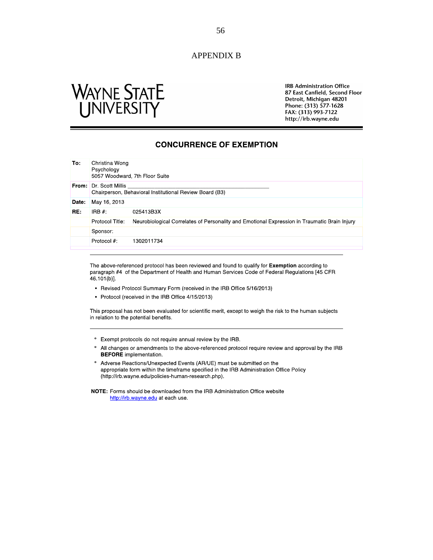## APPENDIX B



**IRB Administration Office** 87 East Canfield, Second Floor Detroit, Michigan 48201 Phone: (313) 577-1628 FAX: (313) 993-7122 http://irb.wayne.edu

# **CONCURRENCE OF EXEMPTION**

| To:   | Christina Wong<br>Psychology<br>5057 Woodward, 7th Floor Suite |                                                                                              |
|-------|----------------------------------------------------------------|----------------------------------------------------------------------------------------------|
|       | <b>From:</b> Dr Scott Millis                                   | Chairperson, Behavioral Institutional Review Board (B3)                                      |
| Date: | May 16, 2013                                                   |                                                                                              |
| RE:   | IRB $#$ :                                                      | 025413B3X                                                                                    |
|       | Protocol Title:                                                | Neurobiological Correlates of Personality and Emotional Expression in Traumatic Brain Injury |
|       | Sponsor:                                                       |                                                                                              |
|       | Protocol #:                                                    | 1302011734                                                                                   |
|       |                                                                |                                                                                              |

The above-referenced protocol has been reviewed and found to qualify for Exemption according to paragraph #4 of the Department of Health and Human Services Code of Federal Regulations [45 CFR 46 101(b)].

- Revised Protocol Summary Form (received in the IRB Office 5/16/2013)
- Protocol (received in the IRB Office 4/15/2013)

This proposal has not been evaluated for scientific merit, except to weigh the risk to the human subjects in relation to the potential benefits.

- <sup>o</sup> Exempt protocols do not require annual review by the IRB.
- All changes or amendments to the above-referenced protocol require review and approval by the IRB **BEFORE** implementation.
- Adverse Reactions/Unexpected Events (AR/UE) must be submitted on the  $\bullet$ appropriate form within the timeframe specified in the IRB Administration Office Policy (http://irb.wayne.edu/policies-human-research.php).

NOTE: Forms should be downloaded from the IRB Administration Office website http://irb.wayne.edu at each use.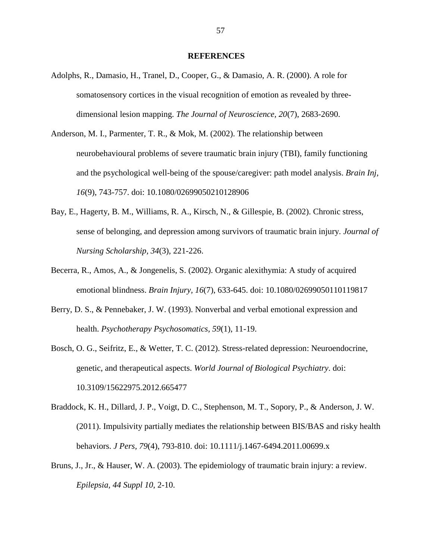#### **REFERENCES**

- Adolphs, R., Damasio, H., Tranel, D., Cooper, G., & Damasio, A. R. (2000). A role for somatosensory cortices in the visual recognition of emotion as revealed by threedimensional lesion mapping. *The Journal of Neuroscience, 20*(7), 2683-2690.
- Anderson, M. I., Parmenter, T. R., & Mok, M. (2002). The relationship between neurobehavioural problems of severe traumatic brain injury (TBI), family functioning and the psychological well-being of the spouse/caregiver: path model analysis. *Brain Inj, 16*(9), 743-757. doi: 10.1080/02699050210128906
- Bay, E., Hagerty, B. M., Williams, R. A., Kirsch, N., & Gillespie, B. (2002). Chronic stress, sense of belonging, and depression among survivors of traumatic brain injury. *Journal of Nursing Scholarship, 34*(3), 221-226.
- Becerra, R., Amos, A., & Jongenelis, S. (2002). Organic alexithymia: A study of acquired emotional blindness. *Brain Injury, 16*(7), 633-645. doi: 10.1080/02699050110119817
- Berry, D. S., & Pennebaker, J. W. (1993). Nonverbal and verbal emotional expression and health. *Psychotherapy Psychosomatics, 59*(1), 11-19.
- Bosch, O. G., Seifritz, E., & Wetter, T. C. (2012). Stress-related depression: Neuroendocrine, genetic, and therapeutical aspects. *World Journal of Biological Psychiatry*. doi: 10.3109/15622975.2012.665477
- Braddock, K. H., Dillard, J. P., Voigt, D. C., Stephenson, M. T., Sopory, P., & Anderson, J. W. (2011). Impulsivity partially mediates the relationship between BIS/BAS and risky health behaviors. *J Pers, 79*(4), 793-810. doi: 10.1111/j.1467-6494.2011.00699.x
- Bruns, J., Jr., & Hauser, W. A. (2003). The epidemiology of traumatic brain injury: a review. *Epilepsia, 44 Suppl 10*, 2-10.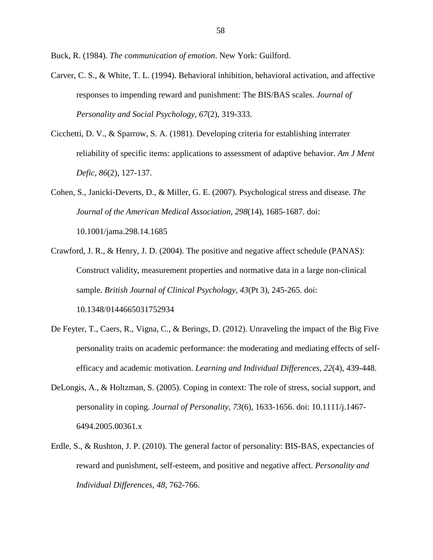Buck, R. (1984). *The communication of emotion*. New York: Guilford.

- Carver, C. S., & White, T. L. (1994). Behavioral inhibition, behavioral activation, and affective responses to impending reward and punishment: The BIS/BAS scales. *Journal of Personality and Social Psychology, 67*(2), 319-333.
- Cicchetti, D. V., & Sparrow, S. A. (1981). Developing criteria for establishing interrater reliability of specific items: applications to assessment of adaptive behavior. *Am J Ment Defic, 86*(2), 127-137.
- Cohen, S., Janicki-Deverts, D., & Miller, G. E. (2007). Psychological stress and disease. *The Journal of the American Medical Association, 298*(14), 1685-1687. doi: 10.1001/jama.298.14.1685
- Crawford, J. R., & Henry, J. D. (2004). The positive and negative affect schedule (PANAS): Construct validity, measurement properties and normative data in a large non-clinical sample. *British Journal of Clinical Psychology, 43*(Pt 3), 245-265. doi: 10.1348/0144665031752934
- De Feyter, T., Caers, R., Vigna, C., & Berings, D. (2012). Unraveling the impact of the Big Five personality traits on academic performance: the moderating and mediating effects of selfefficacy and academic motivation. *Learning and Individual Differences, 22*(4), 439-448.
- DeLongis, A., & Holtzman, S. (2005). Coping in context: The role of stress, social support, and personality in coping. *Journal of Personality, 73*(6), 1633-1656. doi: 10.1111/j.1467- 6494.2005.00361.x
- Erdle, S., & Rushton, J. P. (2010). The general factor of personality: BIS-BAS, expectancies of reward and punishment, self-esteem, and positive and negative affect. *Personality and Individual Differences, 48*, 762-766.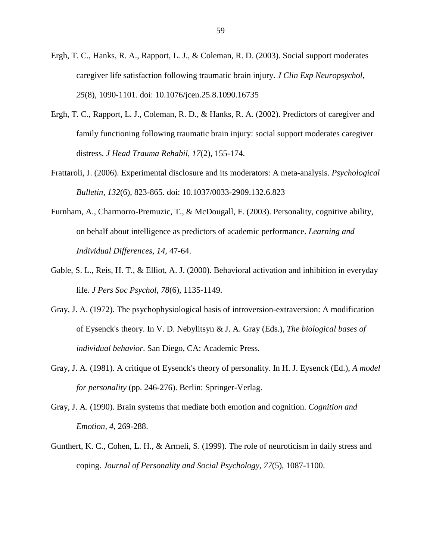- Ergh, T. C., Hanks, R. A., Rapport, L. J., & Coleman, R. D. (2003). Social support moderates caregiver life satisfaction following traumatic brain injury. *J Clin Exp Neuropsychol, 25*(8), 1090-1101. doi: 10.1076/jcen.25.8.1090.16735
- Ergh, T. C., Rapport, L. J., Coleman, R. D., & Hanks, R. A. (2002). Predictors of caregiver and family functioning following traumatic brain injury: social support moderates caregiver distress. *J Head Trauma Rehabil, 17*(2), 155-174.
- Frattaroli, J. (2006). Experimental disclosure and its moderators: A meta-analysis. *Psychological Bulletin, 132*(6), 823-865. doi: 10.1037/0033-2909.132.6.823
- Furnham, A., Charmorro-Premuzic, T., & McDougall, F. (2003). Personality, cognitive ability, on behalf about intelligence as predictors of academic performance. *Learning and Individual Differences, 14*, 47-64.
- Gable, S. L., Reis, H. T., & Elliot, A. J. (2000). Behavioral activation and inhibition in everyday life. *J Pers Soc Psychol, 78*(6), 1135-1149.
- Gray, J. A. (1972). The psychophysiological basis of introversion-extraversion: A modification of Eysenck's theory. In V. D. Nebylitsyn & J. A. Gray (Eds.), *The biological bases of individual behavior*. San Diego, CA: Academic Press.
- Gray, J. A. (1981). A critique of Eysenck's theory of personality. In H. J. Eysenck (Ed.), *A model for personality* (pp. 246-276). Berlin: Springer-Verlag.
- Gray, J. A. (1990). Brain systems that mediate both emotion and cognition. *Cognition and Emotion, 4*, 269-288.
- Gunthert, K. C., Cohen, L. H., & Armeli, S. (1999). The role of neuroticism in daily stress and coping. *Journal of Personality and Social Psychology, 77*(5), 1087-1100.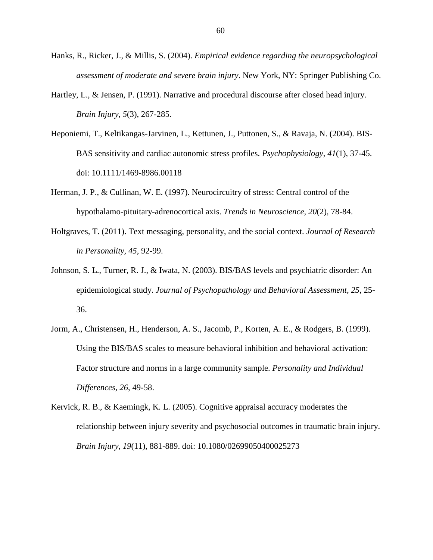- Hanks, R., Ricker, J., & Millis, S. (2004). *Empirical evidence regarding the neuropsychological assessment of moderate and severe brain injury*. New York, NY: Springer Publishing Co.
- Hartley, L., & Jensen, P. (1991). Narrative and procedural discourse after closed head injury. *Brain Injury, 5*(3), 267-285.
- Heponiemi, T., Keltikangas-Jarvinen, L., Kettunen, J., Puttonen, S., & Ravaja, N. (2004). BIS-BAS sensitivity and cardiac autonomic stress profiles. *Psychophysiology, 41*(1), 37-45. doi: 10.1111/1469-8986.00118
- Herman, J. P., & Cullinan, W. E. (1997). Neurocircuitry of stress: Central control of the hypothalamo-pituitary-adrenocortical axis. *Trends in Neuroscience, 20*(2), 78-84.
- Holtgraves, T. (2011). Text messaging, personality, and the social context. *Journal of Research in Personality, 45*, 92-99.
- Johnson, S. L., Turner, R. J., & Iwata, N. (2003). BIS/BAS levels and psychiatric disorder: An epidemiological study. *Journal of Psychopathology and Behavioral Assessment, 25*, 25- 36.
- Jorm, A., Christensen, H., Henderson, A. S., Jacomb, P., Korten, A. E., & Rodgers, B. (1999). Using the BIS/BAS scales to measure behavioral inhibition and behavioral activation: Factor structure and norms in a large community sample. *Personality and Individual Differences, 26*, 49-58.
- Kervick, R. B., & Kaemingk, K. L. (2005). Cognitive appraisal accuracy moderates the relationship between injury severity and psychosocial outcomes in traumatic brain injury. *Brain Injury, 19*(11), 881-889. doi: 10.1080/02699050400025273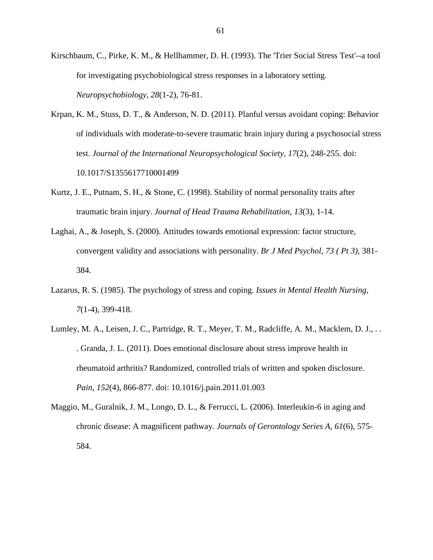Kirschbaum, C., Pirke, K. M., & Hellhammer, D. H. (1993). The 'Trier Social Stress Test'--a tool for investigating psychobiological stress responses in a laboratory setting. *Neuropsychobiology, 28*(1-2), 76-81.

- Krpan, K. M., Stuss, D. T., & Anderson, N. D. (2011). Planful versus avoidant coping: Behavior of individuals with moderate-to-severe traumatic brain injury during a psychosocial stress test. *Journal of the International Neuropsychological Society, 17*(2), 248-255. doi: 10.1017/S1355617710001499
- Kurtz, J. E., Putnam, S. H., & Stone, C. (1998). Stability of normal personality traits after traumatic brain injury. *Journal of Head Trauma Rehabilitation, 13*(3), 1-14.
- Laghai, A., & Joseph, S. (2000). Attitudes towards emotional expression: factor structure, convergent validity and associations with personality. *Br J Med Psychol, 73 ( Pt 3)*, 381- 384.
- Lazarus, R. S. (1985). The psychology of stress and coping. *Issues in Mental Health Nursing, 7*(1-4), 399-418.
- Lumley, M. A., Leisen, J. C., Partridge, R. T., Meyer, T. M., Radcliffe, A. M., Macklem, D. J., . . . Granda, J. L. (2011). Does emotional disclosure about stress improve health in rheumatoid arthritis? Randomized, controlled trials of written and spoken disclosure. *Pain, 152*(4), 866-877. doi: 10.1016/j.pain.2011.01.003
- Maggio, M., Guralnik, J. M., Longo, D. L., & Ferrucci, L. (2006). Interleukin-6 in aging and chronic disease: A magnificent pathway. *Journals of Gerontology Series A, 61*(6), 575- 584.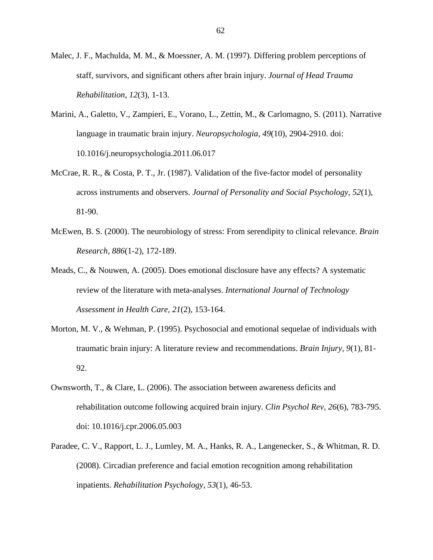- Malec, J. F., Machulda, M. M., & Moessner, A. M. (1997). Differing problem perceptions of staff, survivors, and significant others after brain injury. *Journal of Head Trauma Rehabilitation, 12*(3), 1-13.
- Marini, A., Galetto, V., Zampieri, E., Vorano, L., Zettin, M., & Carlomagno, S. (2011). Narrative language in traumatic brain injury. *Neuropsychologia, 49*(10), 2904-2910. doi: 10.1016/j.neuropsychologia.2011.06.017
- McCrae, R. R., & Costa, P. T., Jr. (1987). Validation of the five-factor model of personality across instruments and observers. *Journal of Personality and Social Psychology, 52*(1), 81-90.
- McEwen, B. S. (2000). The neurobiology of stress: From serendipity to clinical relevance. *Brain Research, 886*(1-2), 172-189.
- Meads, C., & Nouwen, A. (2005). Does emotional disclosure have any effects? A systematic review of the literature with meta-analyses. *International Journal of Technology Assessment in Health Care, 21*(2), 153-164.
- Morton, M. V., & Wehman, P. (1995). Psychosocial and emotional sequelae of individuals with traumatic brain injury: A literature review and recommendations. *Brain Injury, 9*(1), 81- 92.
- Ownsworth, T., & Clare, L. (2006). The association between awareness deficits and rehabilitation outcome following acquired brain injury. *Clin Psychol Rev, 26*(6), 783-795. doi: 10.1016/j.cpr.2006.05.003
- Paradee, C. V., Rapport, L. J., Lumley, M. A., Hanks, R. A., Langenecker, S., & Whitman, R. D. (2008). Circadian preference and facial emotion recognition among rehabilitation inpatients. *Rehabilitation Psychology, 53*(1), 46-53.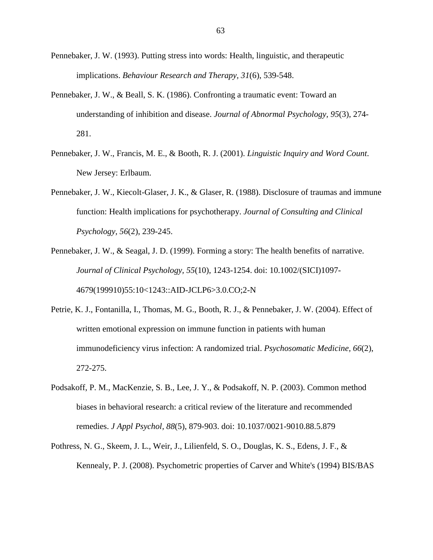- Pennebaker, J. W. (1993). Putting stress into words: Health, linguistic, and therapeutic implications. *Behaviour Research and Therapy, 31*(6), 539-548.
- Pennebaker, J. W., & Beall, S. K. (1986). Confronting a traumatic event: Toward an understanding of inhibition and disease. *Journal of Abnormal Psychology, 95*(3), 274- 281.
- Pennebaker, J. W., Francis, M. E., & Booth, R. J. (2001). *Linguistic Inquiry and Word Count*. New Jersey: Erlbaum.
- Pennebaker, J. W., Kiecolt-Glaser, J. K., & Glaser, R. (1988). Disclosure of traumas and immune function: Health implications for psychotherapy. *Journal of Consulting and Clinical Psychology, 56*(2), 239-245.
- Pennebaker, J. W., & Seagal, J. D. (1999). Forming a story: The health benefits of narrative. *Journal of Clinical Psychology, 55*(10), 1243-1254. doi: 10.1002/(SICI)1097- 4679(199910)55:10<1243::AID-JCLP6>3.0.CO;2-N
- Petrie, K. J., Fontanilla, I., Thomas, M. G., Booth, R. J., & Pennebaker, J. W. (2004). Effect of written emotional expression on immune function in patients with human immunodeficiency virus infection: A randomized trial. *Psychosomatic Medicine, 66*(2), 272-275.
- Podsakoff, P. M., MacKenzie, S. B., Lee, J. Y., & Podsakoff, N. P. (2003). Common method biases in behavioral research: a critical review of the literature and recommended remedies. *J Appl Psychol, 88*(5), 879-903. doi: 10.1037/0021-9010.88.5.879
- Pothress, N. G., Skeem, J. L., Weir, J., Lilienfeld, S. O., Douglas, K. S., Edens, J. F., & Kennealy, P. J. (2008). Psychometric properties of Carver and White's (1994) BIS/BAS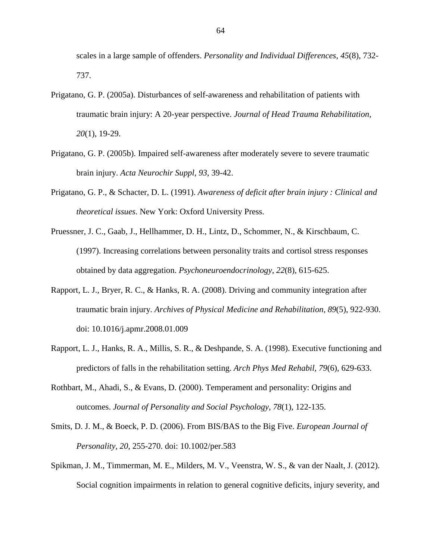scales in a large sample of offenders. *Personality and Individual Differences, 45*(8), 732- 737.

- Prigatano, G. P. (2005a). Disturbances of self-awareness and rehabilitation of patients with traumatic brain injury: A 20-year perspective. *Journal of Head Trauma Rehabilitation, 20*(1), 19-29.
- Prigatano, G. P. (2005b). Impaired self-awareness after moderately severe to severe traumatic brain injury. *Acta Neurochir Suppl, 93*, 39-42.
- Prigatano, G. P., & Schacter, D. L. (1991). *Awareness of deficit after brain injury : Clinical and theoretical issues*. New York: Oxford University Press.
- Pruessner, J. C., Gaab, J., Hellhammer, D. H., Lintz, D., Schommer, N., & Kirschbaum, C. (1997). Increasing correlations between personality traits and cortisol stress responses obtained by data aggregation. *Psychoneuroendocrinology, 22*(8), 615-625.
- Rapport, L. J., Bryer, R. C., & Hanks, R. A. (2008). Driving and community integration after traumatic brain injury. *Archives of Physical Medicine and Rehabilitation, 89*(5), 922-930. doi: 10.1016/j.apmr.2008.01.009
- Rapport, L. J., Hanks, R. A., Millis, S. R., & Deshpande, S. A. (1998). Executive functioning and predictors of falls in the rehabilitation setting. *Arch Phys Med Rehabil, 79*(6), 629-633.
- Rothbart, M., Ahadi, S., & Evans, D. (2000). Temperament and personality: Origins and outcomes. *Journal of Personality and Social Psychology, 78*(1), 122-135.
- Smits, D. J. M., & Boeck, P. D. (2006). From BIS/BAS to the Big Five. *European Journal of Personality, 20*, 255-270. doi: 10.1002/per.583
- Spikman, J. M., Timmerman, M. E., Milders, M. V., Veenstra, W. S., & van der Naalt, J. (2012). Social cognition impairments in relation to general cognitive deficits, injury severity, and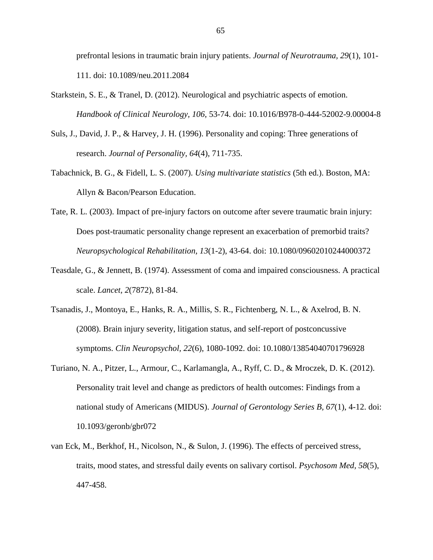prefrontal lesions in traumatic brain injury patients. *Journal of Neurotrauma, 29*(1), 101- 111. doi: 10.1089/neu.2011.2084

- Starkstein, S. E., & Tranel, D. (2012). Neurological and psychiatric aspects of emotion. *Handbook of Clinical Neurology, 106*, 53-74. doi: 10.1016/B978-0-444-52002-9.00004-8
- Suls, J., David, J. P., & Harvey, J. H. (1996). Personality and coping: Three generations of research. *Journal of Personality, 64*(4), 711-735.
- Tabachnick, B. G., & Fidell, L. S. (2007). *Using multivariate statistics* (5th ed.). Boston, MA: Allyn & Bacon/Pearson Education.
- Tate, R. L. (2003). Impact of pre-injury factors on outcome after severe traumatic brain injury: Does post-traumatic personality change represent an exacerbation of premorbid traits? *Neuropsychological Rehabilitation, 13*(1-2), 43-64. doi: 10.1080/09602010244000372
- Teasdale, G., & Jennett, B. (1974). Assessment of coma and impaired consciousness. A practical scale. *Lancet, 2*(7872), 81-84.
- Tsanadis, J., Montoya, E., Hanks, R. A., Millis, S. R., Fichtenberg, N. L., & Axelrod, B. N. (2008). Brain injury severity, litigation status, and self-report of postconcussive symptoms. *Clin Neuropsychol, 22*(6), 1080-1092. doi: 10.1080/13854040701796928
- Turiano, N. A., Pitzer, L., Armour, C., Karlamangla, A., Ryff, C. D., & Mroczek, D. K. (2012). Personality trait level and change as predictors of health outcomes: Findings from a national study of Americans (MIDUS). *Journal of Gerontology Series B, 67*(1), 4-12. doi: 10.1093/geronb/gbr072
- van Eck, M., Berkhof, H., Nicolson, N., & Sulon, J. (1996). The effects of perceived stress, traits, mood states, and stressful daily events on salivary cortisol. *Psychosom Med, 58*(5), 447-458.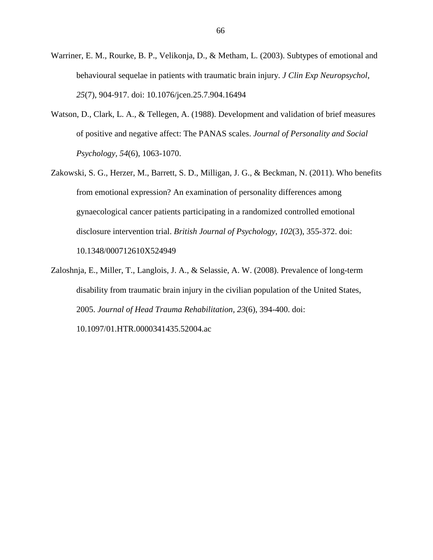- Warriner, E. M., Rourke, B. P., Velikonja, D., & Metham, L. (2003). Subtypes of emotional and behavioural sequelae in patients with traumatic brain injury. *J Clin Exp Neuropsychol, 25*(7), 904-917. doi: 10.1076/jcen.25.7.904.16494
- Watson, D., Clark, L. A., & Tellegen, A. (1988). Development and validation of brief measures of positive and negative affect: The PANAS scales. *Journal of Personality and Social Psychology, 54*(6), 1063-1070.
- Zakowski, S. G., Herzer, M., Barrett, S. D., Milligan, J. G., & Beckman, N. (2011). Who benefits from emotional expression? An examination of personality differences among gynaecological cancer patients participating in a randomized controlled emotional disclosure intervention trial. *British Journal of Psychology, 102*(3), 355-372. doi: 10.1348/000712610X524949
- Zaloshnja, E., Miller, T., Langlois, J. A., & Selassie, A. W. (2008). Prevalence of long-term disability from traumatic brain injury in the civilian population of the United States, 2005. *Journal of Head Trauma Rehabilitation, 23*(6), 394-400. doi: 10.1097/01.HTR.0000341435.52004.ac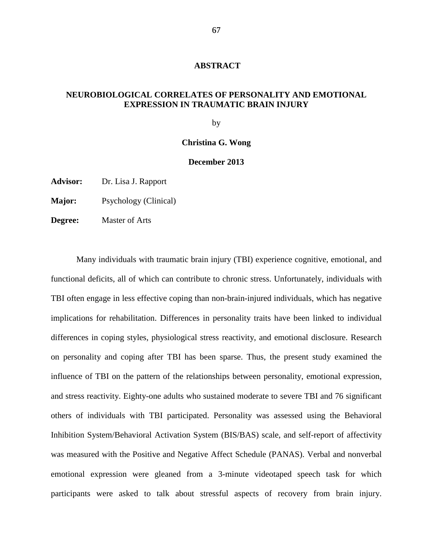## **ABSTRACT**

# **NEUROBIOLOGICAL CORRELATES OF PERSONALITY AND EMOTIONAL EXPRESSION IN TRAUMATIC BRAIN INJURY**

by

**Christina G. Wong** 

## **December 2013**

**Advisor:** Dr. Lisa J. Rapport

**Major:** Psychology (Clinical)

**Degree:** Master of Arts

Many individuals with traumatic brain injury (TBI) experience cognitive, emotional, and functional deficits, all of which can contribute to chronic stress. Unfortunately, individuals with TBI often engage in less effective coping than non-brain-injured individuals, which has negative implications for rehabilitation. Differences in personality traits have been linked to individual differences in coping styles, physiological stress reactivity, and emotional disclosure. Research on personality and coping after TBI has been sparse. Thus, the present study examined the influence of TBI on the pattern of the relationships between personality, emotional expression, and stress reactivity. Eighty-one adults who sustained moderate to severe TBI and 76 significant others of individuals with TBI participated. Personality was assessed using the Behavioral Inhibition System/Behavioral Activation System (BIS/BAS) scale, and self-report of affectivity was measured with the Positive and Negative Affect Schedule (PANAS). Verbal and nonverbal emotional expression were gleaned from a 3-minute videotaped speech task for which participants were asked to talk about stressful aspects of recovery from brain injury.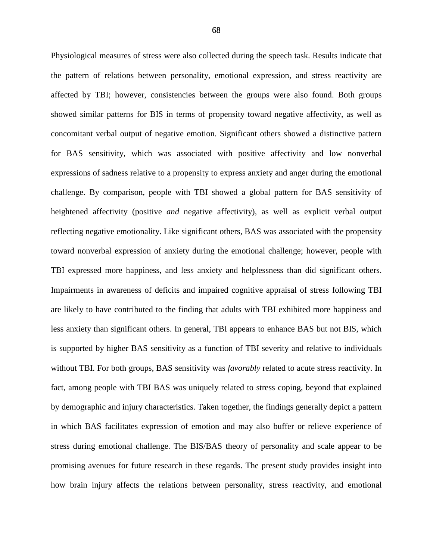Physiological measures of stress were also collected during the speech task. Results indicate that the pattern of relations between personality, emotional expression, and stress reactivity are affected by TBI; however, consistencies between the groups were also found. Both groups showed similar patterns for BIS in terms of propensity toward negative affectivity, as well as concomitant verbal output of negative emotion. Significant others showed a distinctive pattern for BAS sensitivity, which was associated with positive affectivity and low nonverbal expressions of sadness relative to a propensity to express anxiety and anger during the emotional challenge. By comparison, people with TBI showed a global pattern for BAS sensitivity of heightened affectivity (positive *and* negative affectivity), as well as explicit verbal output reflecting negative emotionality. Like significant others, BAS was associated with the propensity toward nonverbal expression of anxiety during the emotional challenge; however, people with TBI expressed more happiness, and less anxiety and helplessness than did significant others. Impairments in awareness of deficits and impaired cognitive appraisal of stress following TBI are likely to have contributed to the finding that adults with TBI exhibited more happiness and less anxiety than significant others. In general, TBI appears to enhance BAS but not BIS, which is supported by higher BAS sensitivity as a function of TBI severity and relative to individuals without TBI. For both groups, BAS sensitivity was *favorably* related to acute stress reactivity. In fact, among people with TBI BAS was uniquely related to stress coping, beyond that explained by demographic and injury characteristics. Taken together, the findings generally depict a pattern in which BAS facilitates expression of emotion and may also buffer or relieve experience of stress during emotional challenge. The BIS/BAS theory of personality and scale appear to be promising avenues for future research in these regards. The present study provides insight into how brain injury affects the relations between personality, stress reactivity, and emotional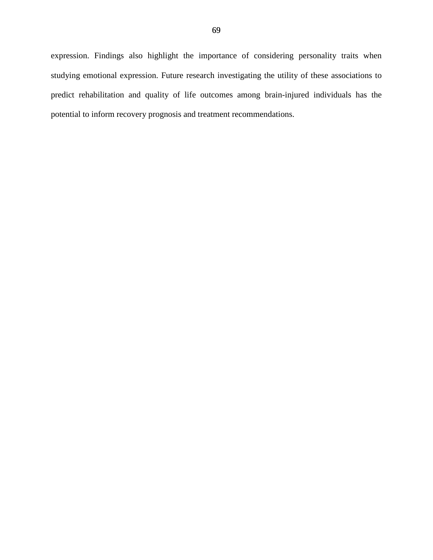expression. Findings also highlight the importance of considering personality traits when studying emotional expression. Future research investigating the utility of these associations to predict rehabilitation and quality of life outcomes among brain-injured individuals has the potential to inform recovery prognosis and treatment recommendations.